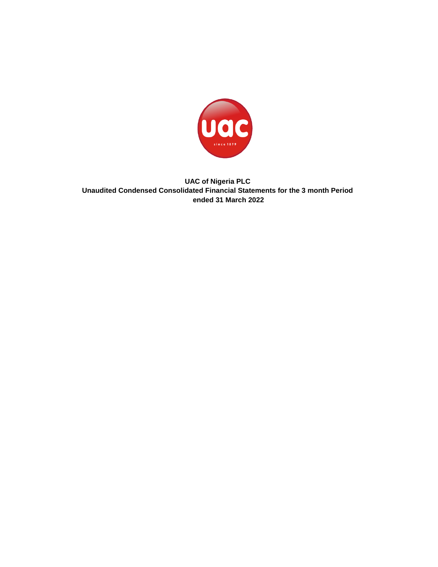

**UAC of Nigeria PLC Unaudited Condensed Consolidated Financial Statements for the 3 month Period ended 31 March 2022**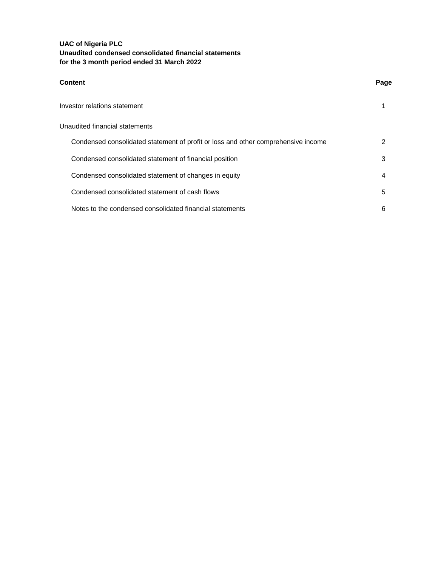| <b>Content</b>                                                                    | Page |
|-----------------------------------------------------------------------------------|------|
| Investor relations statement                                                      |      |
| Unaudited financial statements                                                    |      |
| Condensed consolidated statement of profit or loss and other comprehensive income | 2    |
| Condensed consolidated statement of financial position                            | 3    |
| Condensed consolidated statement of changes in equity                             | 4    |
| Condensed consolidated statement of cash flows                                    | 5    |
| Notes to the condensed consolidated financial statements                          | 6    |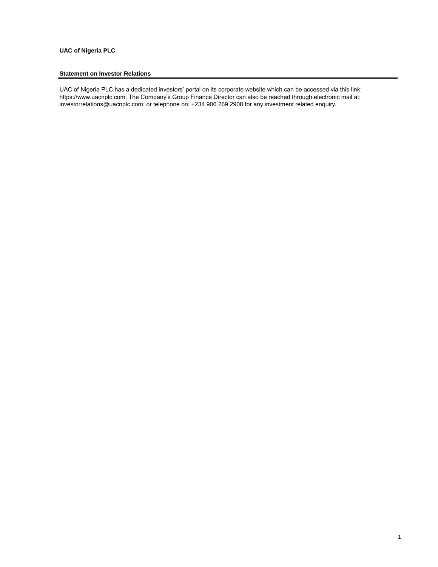## **UAC of Nigeria PLC**

## **Statement on Investor Relations**

UAC of Nigeria PLC has a dedicated investors' portal on its corporate website which can be accessed via this link: https://www.uacnplc.com. The Company's Group Finance Director can also be reached through electronic mail at: investorrelations@uacnplc.com; or telephone on: +234 906 269 2908 for any investment related enquiry.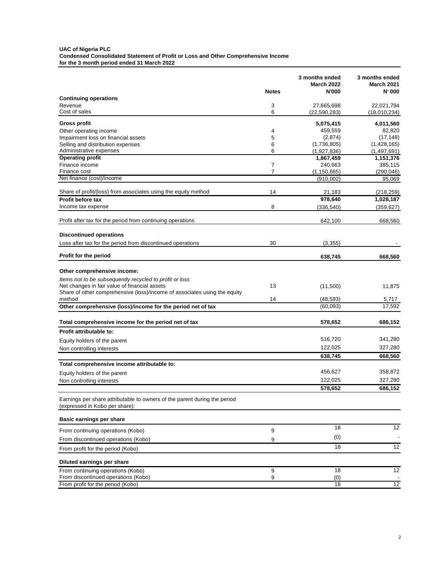### **UAC of Nigeria PLC Condensed Consolidated Statement of Profit or Loss and Other Comprehensive Income for the 3 month period ended 31 March 2022**

|                                                                                                             | <b>Notes</b>                     | 3 months ended<br><b>March 2022</b><br><b>N'000</b> | 3 months ended<br><b>March 2021</b><br>N' 000 |
|-------------------------------------------------------------------------------------------------------------|----------------------------------|-----------------------------------------------------|-----------------------------------------------|
| <b>Continuing operations</b>                                                                                |                                  |                                                     |                                               |
| Revenue<br>Cost of sales                                                                                    | 3<br>6                           | 27,665,698<br>(22, 590, 283)                        | 22,021,794<br>(18,010,234)                    |
| <b>Gross profit</b>                                                                                         |                                  | 5,075,415                                           | 4,011,560                                     |
| Other operating income                                                                                      | 4                                | 459,559                                             | 82,820                                        |
| Impairment loss on financial assets                                                                         | 5                                | (2,874)                                             | (17, 148)                                     |
| Selling and distribution expenses                                                                           | 6                                | (1,736,805)                                         | (1,428,165)                                   |
| Administrative expenses                                                                                     | 6                                | (1,927,836)                                         | (1,497,691)                                   |
| <b>Operating profit</b><br>Finance income                                                                   |                                  | 1,867,459                                           | 1,151,376                                     |
| Finance cost                                                                                                | $\overline{7}$<br>$\overline{7}$ | 240,663<br>(1, 150, 665)                            | 385,115<br>(290, 046)                         |
| Net finance (cost)/income                                                                                   |                                  | (910,002)                                           | 95,069                                        |
|                                                                                                             |                                  |                                                     |                                               |
| Share of profit/(loss) from associates using the equity method                                              | 14                               | 21,183                                              | (218, 259)                                    |
| <b>Profit before tax</b>                                                                                    |                                  | 978,640                                             | 1,028,187                                     |
| Income tax expense                                                                                          | 8                                | (336,540)                                           | (359, 627)                                    |
| Profit after tax for the period from continuing operations                                                  |                                  | 642,100                                             | 668,560                                       |
| <b>Discontinued operations</b>                                                                              |                                  |                                                     |                                               |
| Loss after tax for the period from discontinued operations                                                  | 30                               | (3, 355)                                            |                                               |
|                                                                                                             |                                  |                                                     |                                               |
| Profit for the period                                                                                       |                                  | 638,745                                             | 668,560                                       |
| Other comprehensive income:                                                                                 |                                  |                                                     |                                               |
| Items not to be subsequently recycled to profit or loss                                                     |                                  |                                                     |                                               |
| Net changes in fair value of financial assets                                                               | 13                               | (11,500)                                            | 11,875                                        |
| Share of other comprehensive (loss)/income of associates using the equity                                   |                                  |                                                     |                                               |
| method                                                                                                      | 14                               | (48, 593)                                           | 5,717                                         |
| Other comprehensive (loss)/income for the period net of tax                                                 |                                  | (60,093)                                            | 17,592                                        |
| Total comprehensive income for the period net of tax                                                        |                                  | 578,652                                             | 686,152                                       |
| Profit attributable to:                                                                                     |                                  |                                                     |                                               |
| Equity holders of the parent                                                                                |                                  | 516,720                                             | 341,280                                       |
| Non controlling interests                                                                                   |                                  | 122,025                                             | 327,280                                       |
|                                                                                                             |                                  | 638,745                                             | 668,560                                       |
| Total comprehensive income attributable to:                                                                 |                                  |                                                     |                                               |
| Equity holders of the parent                                                                                |                                  | 456,627                                             | 358,872                                       |
| Non controlling interests                                                                                   |                                  | 122,025                                             | 327,280                                       |
|                                                                                                             |                                  | 578,652                                             | 686,152                                       |
| Earnings per share attributable to owners of the parent during the period<br>(expressed in Kobo per share): |                                  |                                                     |                                               |
| Basic earnings per share                                                                                    |                                  |                                                     |                                               |
| From continuing operations (Kobo)                                                                           | 9                                | $\overline{18}$                                     | 12                                            |
| From discontinued operations (Kobo)                                                                         | 9                                | (0)                                                 |                                               |
| From profit for the period (Kobo)                                                                           |                                  | 18                                                  | $\overline{12}$                               |
| Diluted earnings per share                                                                                  |                                  |                                                     |                                               |
| From continuing operations (Kobo)                                                                           | 9                                | 18                                                  | 12                                            |
| From discontinued operations (Kobo)                                                                         | 9                                | (0)                                                 |                                               |
| From profit for the period (Kobo)                                                                           |                                  | 18                                                  | 12                                            |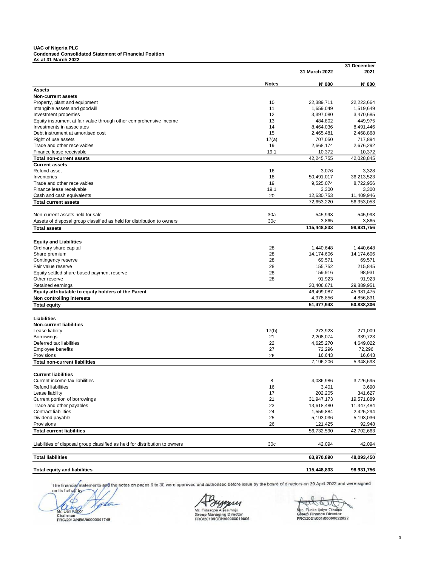#### **UAC of Nigeria PLC Condensed Consolidated Statement of Financial Position As at 31 March 2022**

|                                                                                                 |                 | 31 March 2022        | 31 December<br>2021  |
|-------------------------------------------------------------------------------------------------|-----------------|----------------------|----------------------|
|                                                                                                 | <b>Notes</b>    | N' 000               | N' 000               |
| Assets                                                                                          |                 |                      |                      |
| <b>Non-current assets</b>                                                                       |                 |                      |                      |
| Property, plant and equipment                                                                   | 10              | 22,389,711           | 22,223,664           |
| Intangible assets and goodwill                                                                  | 11<br>12        | 1,659,049            | 1,519,649            |
| Investment properties                                                                           | 13              | 3,397,080<br>484,802 | 3,470,685<br>449,975 |
| Equity instrument at fair value through other comprehensive income<br>Investments in associates | 14              | 8,464,036            | 8,491,446            |
| Debt instrument at amortised cost                                                               | 15              | 2,465,481            | 2,468,868            |
| Right of use assets                                                                             | 17(a)           | 707,050              | 717,894              |
| Trade and other receivables                                                                     | 19              | 2,668,174            | 2,676,292            |
| Finance lease receivable                                                                        | 19.1            | 10,372               | 10,372               |
| <b>Total non-current assets</b>                                                                 |                 | 42,245,755           | 42,028,845           |
| <b>Current assets</b>                                                                           |                 |                      |                      |
| Refund asset                                                                                    | 16              | 3,076                | 3,328                |
| Inventories                                                                                     | 18              | 50,491,017           | 36,213,523           |
| Trade and other receivables                                                                     | 19              | 9,525,074            | 8,722,956            |
| Finance lease receivable                                                                        | 19.1            | 3,300                | 3,300                |
| Cash and cash equivalents                                                                       | 20              | 12,630,753           | 11,409,946           |
| <b>Total current assets</b>                                                                     |                 | 72,653,220           | 56,353,053           |
|                                                                                                 |                 |                      |                      |
| Non-current assets held for sale                                                                | 30a             | 545,993              | 545,993              |
| Assets of disposal group classified as held for distribution to owners                          | 30 <sub>c</sub> | 3,865                | 3,865                |
| <b>Total assets</b>                                                                             |                 | 115,448,833          | 98,931,756           |
|                                                                                                 |                 |                      |                      |
| <b>Equity and Liabilities</b>                                                                   |                 |                      |                      |
| Ordinary share capital                                                                          | 28              | 1,440,648            | 1,440,648            |
| Share premium                                                                                   | 28              | 14,174,606           | 14,174,606           |
| Contingency reserve                                                                             | 28              | 69,571               | 69,571               |
| Fair value reserve                                                                              | 28              | 155,752              | 215,845              |
| Equity settled share based payment reserve                                                      | 28              | 159,916              | 98,931               |
| Other reserve                                                                                   | 28              | 91,923               | 91,923               |
| Retained earnings                                                                               |                 | 30,406,671           | 29,889,951           |
| Equity attributable to equity holders of the Parent                                             |                 | 46,499,087           | 45,981,475           |
| Non controlling interests                                                                       |                 | 4,978,856            | 4,856,831            |
| <b>Total equity</b>                                                                             |                 | 51,477,943           | 50,838,306           |
|                                                                                                 |                 |                      |                      |
| Liabilities                                                                                     |                 |                      |                      |
| <b>Non-current liabilities</b>                                                                  |                 |                      |                      |
| Lease liability                                                                                 | 17(b)           | 273,923              | 271,009              |
| Borrowings                                                                                      | 21              | 2,208,074            | 339,723              |
| Deferred tax liabilities                                                                        | 22              | 4,625,270            | 4,649,022            |
| <b>Employee benefits</b>                                                                        | 27              | 72,296               | 72,296               |
| Provisions                                                                                      | 26              | 16.643               | 16,643               |
| <b>Total non-current liabilities</b>                                                            |                 | 7,196,206            | 5,348,693            |
| <b>Current liabilities</b>                                                                      |                 |                      |                      |
| Current income tax liabilities                                                                  | 8               | 4,086,986            | 3,726,695            |
| Refund liabilities                                                                              | 16              | 3,401                | 3,690                |
| Lease liability                                                                                 | 17              | 202,205              | 341,627              |
| Current portion of borrowings                                                                   | 21              | 31,947,173           | 19,571,889           |
| Trade and other payables                                                                        | 23              | 13,618,480           | 11,347,484           |
| <b>Contract liabilities</b>                                                                     | 24              | 1,559,884            | 2,425,294            |
| Dividend payable                                                                                | 25              | 5,193,036            | 5,193,036            |
| Provisions                                                                                      | 26              | 121,425              | 92,948               |
| <b>Total current liabilities</b>                                                                |                 | 56,732,590           | 42,702,663           |
| Liabilities of disposal group classified as held for distribution to owners                     | 30 <sub>c</sub> | 42,094               | 42,094               |
|                                                                                                 |                 |                      |                      |
| <b>Total liabilities</b>                                                                        |                 | 63,970,890           | 48,093,450           |
| <b>Total equity and liabilities</b>                                                             |                 | 115,448,833          | 98,931,756           |

The financial statements and the notes on pages 6 to 30 were approved and authorised before issue by the board of directors on 29 April 2022 and were signed  $on$  its b

ф apa Mr. Dan Agbor Chairman<br>**FRC/2013/NBA/0000** 

Mr. Folasope Aiyesimoju **Group Managing Director FRC/2019/IODN/00000019806**

atan Mrs. Funke Ijaiya-Oladipo **Group Finance Director FRC/2021/001/00000022822**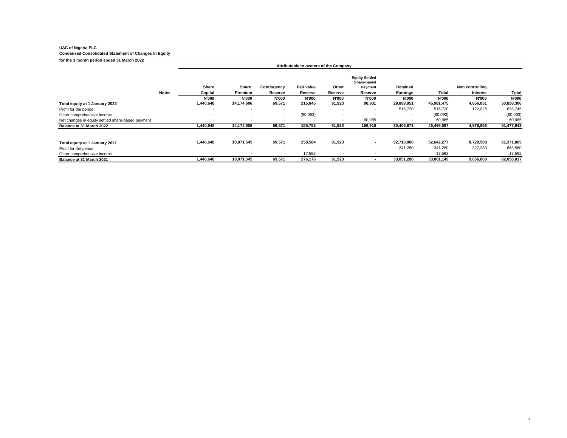# **UAC of Nigeria PLC Condensed Consolidated Statement of Changes in Equity** for the 3 month period ended 31 March 2022

|                                                   |              | Attributable to owners of the Company |                          |                          |                   |              |                                                 |              |              |                 |              |
|---------------------------------------------------|--------------|---------------------------------------|--------------------------|--------------------------|-------------------|--------------|-------------------------------------------------|--------------|--------------|-----------------|--------------|
|                                                   |              | Share                                 | Share                    | Contingency              | <b>Fair value</b> | Other        | <b>Equity Settled</b><br>Share-based<br>Payment | Retained     |              | Non controlling |              |
|                                                   | <b>Notes</b> | Capital                               | Premium                  | Reserve                  | Reserve           | Reserve      | Reserve                                         | Earnings     | Total        | <b>Interest</b> | Total        |
|                                                   |              | <b>N'000</b>                          | <b>N'000</b>             | <b>N'000</b>             | <b>N'000</b>      | <b>N'000</b> | <b>N'000</b>                                    | <b>N'000</b> | <b>N'000</b> | <b>N'000</b>    | <b>N'000</b> |
| Total equity at 1 January 2022                    |              | 1,440,648                             | 14,174,606               | 69,571                   | 215,845           | 91,923       | 98,931                                          | 29,889,951   | 45,981,475   | 4,856,831       | 50,838,306   |
| Profit for the period                             |              |                                       | $\overline{\phantom{a}}$ | $\overline{\phantom{a}}$ |                   | $\sim$       | $\overline{\phantom{a}}$                        | 516,720      | 516,720      | 122,025         | 638,745      |
| Other comprehensive income                        |              | $\sim$                                | $\overline{\phantom{a}}$ | ٠                        | (60,093)          |              |                                                 |              | (60,093)     |                 | (60,093)     |
| Net changes in equity settled share-based payment |              |                                       |                          | $\overline{\phantom{a}}$ |                   |              | 60,985                                          |              | 60,985       |                 | 60,985       |
| Balance at 31 March 2022                          |              | 1,440,648                             | 14,174,606               | 69,571                   | 155,752           | 91,923       | 159,916                                         | 30,406,671   | 46,499,087   | 4,978,856       | 51,477,943   |
| Total equity at 1 January 2021                    |              | 1,440,648                             | 18,071,545               | 69,571                   | 258,584           | 91,923       | $\sim$                                          | 32.710.006   | 52,642,277   | 8,729,588       | 61,371,865   |
| Profit for the period                             |              |                                       | $\overline{\phantom{a}}$ | $\overline{\phantom{a}}$ |                   |              |                                                 | 341,280      | 341,280      | 327,280         | 668,560      |
| Other comprehensive income                        |              |                                       |                          |                          | 17,592            |              |                                                 |              | 17,592       |                 | 17,592       |
| Balance at 31 March 2021                          |              | 1,440,648                             | 18.071.545               | 69,571                   | 276,176           | 91,923       |                                                 | 33.051.286   | 53,001,149   | 9,056,868       | 62,058,017   |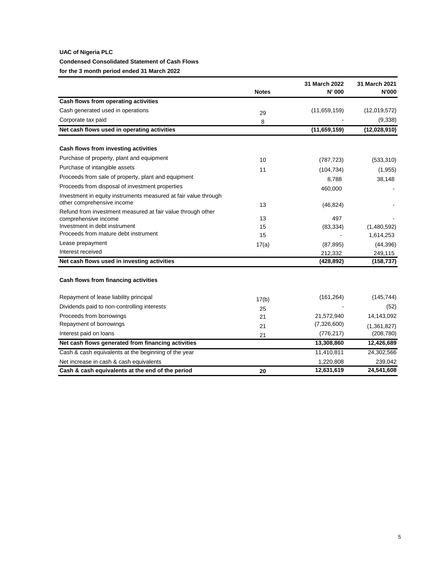# **UAC of Nigeria PLC Condensed Consolidated Statement of Cash Flows for the 3 month period ended 31 March 2022**

|                                                                                     | <b>Notes</b> | 31 March 2022<br>N' 000 | 31 March 2021<br><b>N'000</b> |
|-------------------------------------------------------------------------------------|--------------|-------------------------|-------------------------------|
| Cash flows from operating activities                                                |              |                         |                               |
| Cash generated used in operations                                                   | 29           | (11,659,159)            | (12,019,572)                  |
| Corporate tax paid                                                                  | 8            |                         | (9,338)                       |
| Net cash flows used in operating activities                                         |              | (11,659,159)            | (12,028,910)                  |
| Cash flows from investing activities                                                |              |                         |                               |
| Purchase of property, plant and equipment                                           |              |                         |                               |
| Purchase of intangible assets                                                       | 10           | (787, 723)              | (533, 310)                    |
|                                                                                     | 11           | (104, 734)              | (1, 955)                      |
| Proceeds from sale of property, plant and equipment                                 |              | 8,788                   | 38,148                        |
| Proceeds from disposal of investment properties                                     |              | 460,000                 |                               |
| Investment in equity instruments measured at fair value through                     |              |                         |                               |
| other comprehensive income                                                          | 13           | (46, 824)               |                               |
| Refund from investment measured at fair value through other<br>comprehensive income | 13           | 497                     |                               |
| Investment in debt instrument                                                       | 15           | (83, 334)               | (1,480,592)                   |
| Proceeds from mature debt instrument                                                | 15           |                         | 1,614,253                     |
| Lease prepayment                                                                    | 17(a)        | (87, 895)               | (44, 396)                     |
| Interest received                                                                   |              | 212,332                 | 249,115                       |
| Net cash flows used in investing activities                                         |              | (428, 892)              | (158, 737)                    |
| Cash flows from financing activities                                                |              |                         |                               |
| Repayment of lease liability principal                                              | 17(b)        | (161, 264)              | (145, 744)                    |
| Dividends paid to non-controlling interests                                         | 25           |                         | (52)                          |
| Proceeds from borrowings                                                            | 21           | 21,572,940              | 14,143,092                    |
| Repayment of borrowings                                                             | 21           | (7,326,600)             | (1, 361, 827)                 |
| Interest paid on loans                                                              | 21           | (776, 217)              | (208, 780)                    |
| Net cash flows generated from financing activities                                  |              | 13,308,860              | 12,426,689                    |
| Cash & cash equivalents at the beginning of the year                                |              | 11,410,811              | 24,302,566                    |
| Net increase in cash & cash equivalents                                             |              | 1,220,808               | 239,042                       |
| Cash & cash equivalents at the end of the period                                    | 20           | 12,631,619              | 24,541,608                    |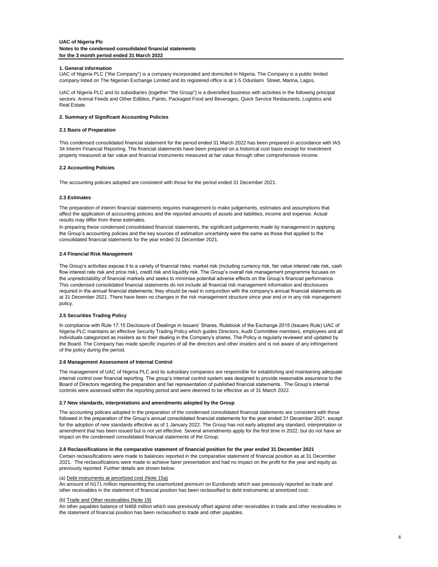#### **1. General information**

UAC of Nigeria PLC ("the Company") is a company incorporated and domiciled in Nigeria. The Company is a public limited company listed on The Nigerian Exchange Limited and its registered office is at 1-5 Odunlami Street, Marina, Lagos.

UAC of Nigeria PLC and its subsidiaries (together "the Group") is a diversified business with activities in the following principal sectors: Animal Feeds and Other Edibles, Paints, Packaged Food and Beverages, Quick Service Restaurants, Logistics and Real Estate.

#### **2. Summary of Significant Accounting Policies**

#### **2.1 Basis of Preparation**

This condensed consolidated financial statement for the period ended 31 March 2022 has been prepared in accordance with IAS 34 Interim Financial Reporting. The financial statements have been prepared on a historical cost basis except for investment property measured at fair value and financial instruments measured at fair value through other comprehensive income.

#### **2.2 Accounting Policies**

The accounting policies adopted are consistent with those for the period ended 31 December 2021.

#### **2.3 Estimates**

The preparation of interim financial statements requires management to make judgements, estimates and assumptions that affect the application of accounting policies and the reported amounts of assets and liabilities, income and expense. Actual results may differ from these estimates.

In preparing these condensed consolidated financial statements, the significant judgements made by management in applying the Group's accounting policies and the key sources of estimation uncertainty were the same as those that applied to the consolidated financial statements for the year ended 31 December 2021.

#### **2.4 Financial Risk Management**

The Group's activities expose it to a variety of financial risks: market risk (including currency risk, fair value interest rate risk, cash flow interest rate risk and price risk), credit risk and liquidity risk. The Group's overall risk management programme focuses on the unpredictability of financial markets and seeks to minimise potential adverse effects on the Group's financial performance. This condensed consolidated financial statements do not include all financial risk management information and disclosures required in the annual financial statements; they should be read in conjunction with the company's annual financial statements as at 31 December 2021. There have been no changes in the risk management structure since year end or in any risk management policy.

#### **2.5 Securities Trading Policy**

In compliance with Rule 17.15 Disclosure of Dealings in Issuers' Shares, Rulebook of the Exchange 2015 (Issuers Rule) UAC of Nigeria PLC maintains an effective Security Trading Policy which guides Directors, Audit Committee members, employees and all individuals categorized as insiders as to their dealing in the Company's shares. The Policy is regularly reviewed and updated by the Board. The Company has made specific inquiries of all the directors and other insiders and is not aware of any infringement of the policy during the period.

#### **2.6 Management Assessment of Internal Control**

The management of UAC of Nigeria PLC and its subsidiary companies are responsible for establishing and maintaining adequate internal control over financial reporting. The group's internal control system was designed to provide reasonable assurance to the Board of Directors regarding the preparation and fair representation of published financial statements. The Group's internal controls were assessed within the reporting period and were deemed to be effective as of 31 March 2022.

#### **2.7 New standards, interpretations and amendments adopted by the Group**

The accounting policies adopted in the preparation of the condensed consolidated financial statements are consistent with those followed in the preparation of the Group's annual consolidated financial statements for the year ended 31 December 2021, except for the adoption of new standards effective as of 1 January 2022. The Group has not early adopted any standard, interpretation or amendment that has been issued but is not yet effective. Several amendments apply for the first time in 2022, but do not have an impact on the condensed consolidated financial statements of the Group.

#### **2.8 Reclassifications in the comparative statement of financial position for the year ended 31 December 2021**

Certain reclassifications were made to balances reported in the comparative statement of financial position as at 31 December 2021. The reclassifications were made to achieve fairer presentation and had no impact on the profit for the year and equity as previously reported. Further details are shown below.

#### (a) Debt instruments at amortized cost (Note 15a)

An amount of N171 million representing the unamortized premium on Eurobonds which was previously reported as trade and other receivables in the statement of financial position has been reclassified to debt instruments at amortized cost.

#### (b) Trade and Other receivables (Note 19)

An other payables balance of N468 million which was previously offset against other receivables in trade and other receivables in the statement of financial position has been reclassified to trade and other payables.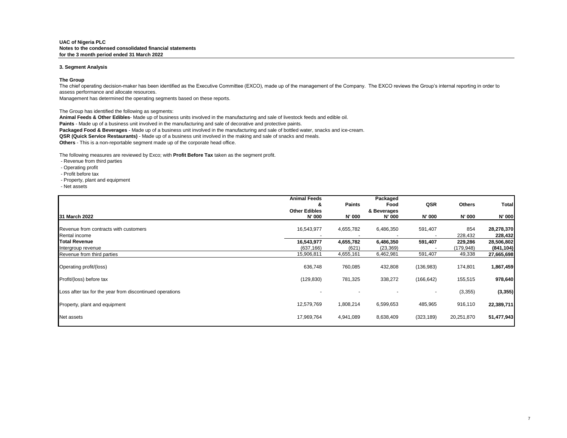#### **3. Segment Analysis**

#### **The Group**

The chief operating decision-maker has been identified as the Executive Committee (EXCO), made up of the management of the Company. The EXCO reviews the Group's internal reporting in order to assess performance and allocate resources.

Management has determined the operating segments based on these reports.

The Group has identified the following as segments:

**Animal Feeds & Other Edibles**- Made up of business units involved in the manufacturing and sale of livestock feeds and edible oil.

**Paints** - Made up of a business unit involved in the manufacturing and sale of decorative and protective paints.

**Packaged Food & Beverages** - Made up of a business unit involved in the manufacturing and sale of bottled water, snacks and ice-cream.

**QSR (Quick Service Restaurants)** - Made up of a business unit involved in the making and sale of snacks and meals.

**Others** - This is a non-reportable segment made up of the corporate head office.

The following measures are reviewed by Exco; with **Profit Before Tax** taken as the segment profit.

- Revenue from third parties

- Operating profit
- Profit before tax
- Property, plant and equipment
- Net assets

|                                                          | <b>Animal Feeds</b>  |               | Packaged    |            |               |              |
|----------------------------------------------------------|----------------------|---------------|-------------|------------|---------------|--------------|
|                                                          | &                    | <b>Paints</b> | Food        | QSR        | <b>Others</b> | <b>Total</b> |
|                                                          | <b>Other Edibles</b> |               | & Beverages |            |               |              |
| 31 March 2022                                            | N' 000               | N' 000        | N' 000      | N' 000     | N' 000        | N' 000       |
|                                                          |                      |               |             |            |               |              |
| Revenue from contracts with customers                    | 16,543,977           | 4,655,782     | 6,486,350   | 591,407    | 854           | 28,278,370   |
| Rental income                                            |                      |               |             |            | 228,432       | 228,432      |
| <b>Total Revenue</b>                                     | 16,543,977           | 4,655,782     | 6,486,350   | 591,407    | 229,286       | 28,506,802   |
| Intergroup revenue                                       | (637, 166)           | (621)         | (23, 369)   |            | (179, 948)    | (841, 104)   |
| Revenue from third parties                               | 15,906,811           | 4,655,161     | 6,462,981   | 591,407    | 49,338        | 27,665,698   |
| Operating profit/(loss)                                  | 636,748              | 760,085       | 432,808     | (136, 983) | 174,801       | 1,867,459    |
| Profit/(loss) before tax                                 | (129, 830)           | 781,325       | 338,272     | (166, 642) | 155,515       | 978,640      |
| Loss after tax for the year from discontinued operations |                      |               |             | ۰.         | (3,355)       | (3, 355)     |
| Property, plant and equipment                            | 12,579,769           | 1,808,214     | 6,599,653   | 485,965    | 916,110       | 22,389,711   |
| Net assets                                               | 17,969,764           | 4,941,089     | 8,638,409   | (323, 189) | 20,251,870    | 51,477,943   |
|                                                          |                      |               |             |            |               |              |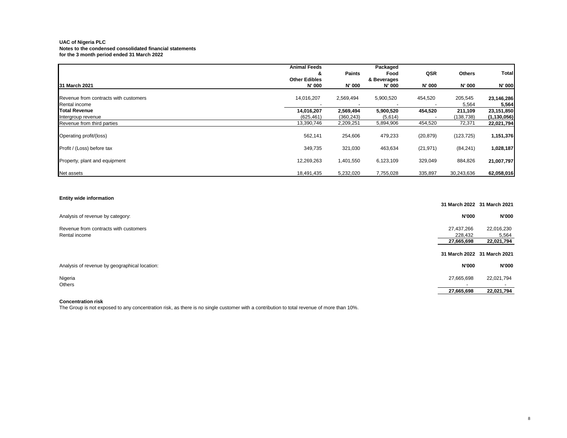|                                       | <b>Animal Feeds</b>       |               | Packaged            |           |               | Total         |
|---------------------------------------|---------------------------|---------------|---------------------|-----------|---------------|---------------|
|                                       | &<br><b>Other Edibles</b> | <b>Paints</b> | Food<br>& Beverages | QSR       | <b>Others</b> |               |
| 31 March 2021                         | N' 000                    | N' 000        | N' 000              | N' 000    | N' 000        | N' 000        |
| Revenue from contracts with customers | 14,016,207                | 2,569,494     | 5,900,520           | 454,520   | 205,545       | 23,146,286    |
| Rental income                         |                           |               |                     |           | 5,564         | 5,564         |
| Total Revenue                         | 14,016,207                | 2,569,494     | 5,900,520           | 454,520   | 211,109       | 23,151,850    |
| Intergroup revenue                    | (625, 461)                | (360, 243)    | (5,614)             |           | (138, 738)    | (1, 130, 056) |
| Revenue from third parties            | 13,390,746                | 2,209,251     | 5,894,906           | 454,520   | 72,371        | 22,021,794    |
| Operating profit/(loss)               | 562,141                   | 254,606       | 479,233             | (20, 879) | (123, 725)    | 1,151,376     |
| Profit / (Loss) before tax            | 349,735                   | 321,030       | 463,634             | (21, 971) | (84, 241)     | 1,028,187     |
| Property, plant and equipment         | 12,269,263                | 1,401,550     | 6,123,109           | 329,049   | 884,826       | 21,007,797    |
| Net assets                            | 18,491,435                | 5,232,020     | 7,755,028           | 335,897   | 30,243,636    | 62,058,016    |

### **Entity wide information**

|                                                        |                                     | 31 March 2022 31 March 2021       |
|--------------------------------------------------------|-------------------------------------|-----------------------------------|
| Analysis of revenue by category:                       | <b>N'000</b>                        | <b>N'000</b>                      |
| Revenue from contracts with customers<br>Rental income | 27,437,266<br>228,432<br>27,665,698 | 22,016,230<br>5,564<br>22,021,794 |
|                                                        |                                     | 31 March 2022 31 March 2021       |
| Analysis of revenue by geographical location:          | <b>N'000</b>                        | <b>N'000</b>                      |
| Nigeria<br>Others                                      | 27,665,698                          | 22,021,794                        |
|                                                        | 27,665,698                          | 22,021,794                        |

### **Concentration risk**

The Group is not exposed to any concentration risk, as there is no single customer with a contribution to total revenue of more than 10%.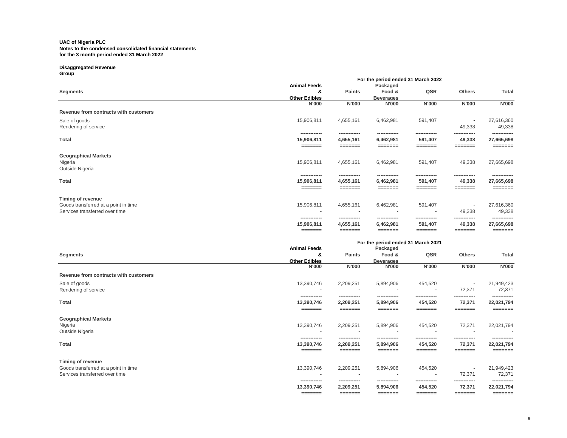### **Disaggregated Revenue**

**Group**

| ----r                                 |                              | For the period ended 31 March 2022 |                                                |                          |                    |                              |
|---------------------------------------|------------------------------|------------------------------------|------------------------------------------------|--------------------------|--------------------|------------------------------|
|                                       | <b>Animal Feeds</b>          |                                    | Packaged                                       |                          |                    |                              |
| <b>Segments</b>                       | &                            | <b>Paints</b>                      | Food &                                         | QSR                      | <b>Others</b>      | <b>Total</b>                 |
|                                       | <b>Other Edibles</b>         |                                    | <b>Beverages</b>                               |                          |                    |                              |
|                                       | <b>N'000</b>                 | <b>N'000</b>                       | <b>N'000</b>                                   | <b>N'000</b>             | <b>N'000</b>       | N'000                        |
| Revenue from contracts with customers |                              |                                    |                                                |                          |                    |                              |
| Sale of goods                         | 15,906,811                   | 4,655,161                          | 6,462,981                                      | 591,407                  | $\blacksquare$     | 27,616,360                   |
| Rendering of service                  |                              |                                    |                                                |                          | 49,338             | 49,338                       |
| <b>Total</b>                          | --------------<br>15,906,811 | --------------<br>4,655,161        | -------------<br>6,462,981                     | -------------<br>591,407 | 49,338             | --------------<br>27,665,698 |
|                                       | =======                      | =======                            | =======                                        | =======                  | =======            | =======                      |
| <b>Geographical Markets</b>           |                              |                                    |                                                |                          |                    |                              |
| Nigeria                               | 15,906,811                   | 4,655,161                          | 6,462,981                                      | 591,407                  | 49,338             | 27,665,698                   |
| Outside Nigeria                       |                              |                                    |                                                |                          |                    |                              |
|                                       |                              |                                    |                                                |                          |                    |                              |
| <b>Total</b>                          | 15,906,811                   | 4,655,161                          | 6,462,981                                      | 591,407                  | 49,338             | 27,665,698                   |
|                                       | =======                      | =======                            | =======                                        | =======                  | =======            | =======                      |
| Timing of revenue                     |                              |                                    |                                                |                          |                    |                              |
| Goods transferred at a point in time  | 15,906,811                   | 4,655,161                          | 6,462,981                                      | 591,407                  | $\blacksquare$     | 27,616,360                   |
| Services transferred over time        |                              |                                    |                                                |                          | 49,338             | 49,338                       |
|                                       | -------------<br>15,906,811  | --------<br>4,655,161              | 6,462,981                                      | 591,407                  | --------<br>49,338 | 27,665,698                   |
|                                       | =======                      | =======                            | =======                                        | =======                  | =======            | =======                      |
|                                       |                              |                                    |                                                |                          |                    |                              |
|                                       | <b>Animal Feeds</b>          |                                    | For the period ended 31 March 2021<br>Packaged |                          |                    |                              |
| <b>Segments</b>                       | &                            | Paints                             | Food &                                         | QSR                      | <b>Others</b>      | <b>Total</b>                 |
|                                       | <b>Other Edibles</b>         |                                    | <b>Beverages</b>                               |                          |                    |                              |
|                                       | <b>N'000</b>                 | N'000                              | <b>N'000</b>                                   | N'000                    | N'000              | <b>N'000</b>                 |

|                                       | <b>N'OUU</b>                 | <b>NOOO</b>                | <b>N.000</b>               | <b>N'OOO</b>            | <b>N'OOO</b>             | <b>N.OOO</b>                |
|---------------------------------------|------------------------------|----------------------------|----------------------------|-------------------------|--------------------------|-----------------------------|
| Revenue from contracts with customers |                              |                            |                            |                         |                          |                             |
| Sale of goods                         | 13,390,746                   | 2,209,251                  | 5,894,906                  | 454,520                 | $\overline{\phantom{0}}$ | 21,949,423                  |
| Rendering of service                  | $\overline{\phantom{a}}$     | $\overline{\phantom{a}}$   | $\overline{\phantom{a}}$   |                         | 72,371                   | 72,371                      |
| <b>Total</b>                          | --------------<br>13,390,746 | -------------<br>2,209,251 | -------------<br>5,894,906 | ------------<br>454,520 | -------------<br>72,371  | -------------<br>22,021,794 |
|                                       | =======                      | =======                    | =======                    | =======                 | =======                  | ------                      |
| <b>Geographical Markets</b>           |                              |                            |                            |                         |                          |                             |
| Nigeria                               | 13,390,746                   | 2,209,251                  | 5,894,906                  | 454,520                 | 72,371                   | 22,021,794                  |
| Outside Nigeria                       | $\overline{\phantom{a}}$     | $\overline{a}$             |                            |                         |                          | $\blacksquare$              |
| <b>Total</b>                          | --------------<br>13,390,746 | -------------<br>2,209,251 | -------------<br>5,894,906 | ------------<br>454,520 | 72,371                   | -------------<br>22,021,794 |
|                                       | =======                      | =======                    | _______                    | =======                 | ______                   | ------                      |
| Timing of revenue                     |                              |                            |                            |                         |                          |                             |
| Goods transferred at a point in time  | 13,390,746                   | 2,209,251                  | 5,894,906                  | 454,520                 | $\overline{\phantom{a}}$ | 21,949,423                  |
| Services transferred over time        |                              | $\overline{\phantom{a}}$   | $\overline{\phantom{a}}$   |                         | 72,371                   | 72,371                      |
|                                       | --------------<br>13,390,746 | -------------<br>2,209,251 | -------------<br>5,894,906 | ------------<br>454,520 | -------------<br>72,371  | -------------<br>22,021,794 |

 **======= ======= ======= ======= ======= =======**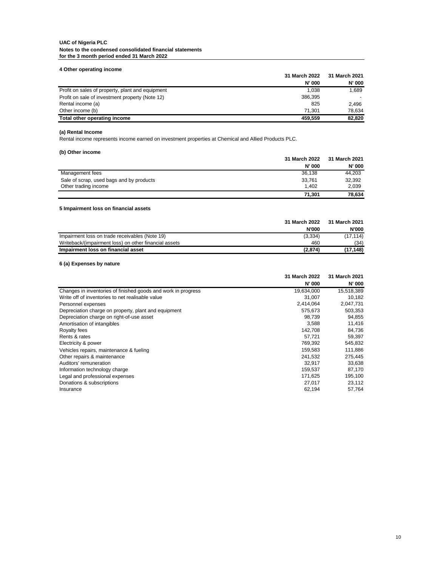| 4 Other operating income                         |               |               |
|--------------------------------------------------|---------------|---------------|
|                                                  | 31 March 2022 | 31 March 2021 |
|                                                  | <b>N' 000</b> | <b>N' 000</b> |
| Profit on sales of property, plant and equipment | 1.038         | 1.689         |
| Profit on sale of investment property (Note 12)  | 386,395       |               |
| Rental income (a)                                | 825           | 2.496         |
| Other income (b)                                 | 71.301        | 78.634        |
| Total other operating income                     | 459.559       | 82,820        |

### **(a) Rental Income**

Rental income represents income earned on investment properties at Chemical and Allied Products PLC.

## **(b) Other income**

|                                          | 31 March 2022 | 31 March 2021 |
|------------------------------------------|---------------|---------------|
|                                          | N' 000        | <b>N' 000</b> |
| Management fees                          | 36.138        | 44.203        |
| Sale of scrap, used bags and by products | 33.761        | 32,392        |
| Other trading income                     | 1.402         | 2.039         |
|                                          | 71.301        | 78.634        |

## **5 Impairment loss on financial assets**

|                                                       | 31 March 2022 | 31 March 2021 |
|-------------------------------------------------------|---------------|---------------|
|                                                       | <b>N'000</b>  | <b>N'000</b>  |
| Impairment loss on trade receivables (Note 19)        | (3, 334)      | (17, 114)     |
| Writeback/(impairment loss) on other financial assets | 460           | (34)          |
| Impairment loss on financial asset                    | (2.874)       | (17.148)      |

## **6 (a) Expenses by nature**

|                                                               | 31 March 2022 | 31 March 2021 |
|---------------------------------------------------------------|---------------|---------------|
|                                                               | <b>N' 000</b> | N' 000        |
| Changes in inventories of finished goods and work in progress | 19,634,000    | 15,518,389    |
| Write off of inventories to net realisable value              | 31.007        | 10.182        |
| Personnel expenses                                            | 2,414,064     | 2,047,731     |
| Depreciation charge on property, plant and equipment          | 575,673       | 503,353       |
| Depreciation charge on right-of-use asset                     | 98.739        | 94,855        |
| Amortisation of intangibles                                   | 3,588         | 11,416        |
| Royalty fees                                                  | 142,708       | 84,736        |
| Rents & rates                                                 | 57,721        | 59,397        |
| Electricity & power                                           | 769,392       | 545,832       |
| Vehicles repairs, maintenance & fueling                       | 159.583       | 111,886       |
| Other repairs & maintenance                                   | 241.532       | 275.445       |
| Auditors' remuneration                                        | 32,917        | 33,638        |
| Information technology charge                                 | 159.537       | 87.170        |
| Legal and professional expenses                               | 171.625       | 195,100       |
| Donations & subscriptions                                     | 27,017        | 23,112        |
| Insurance                                                     | 62,194        | 57.764        |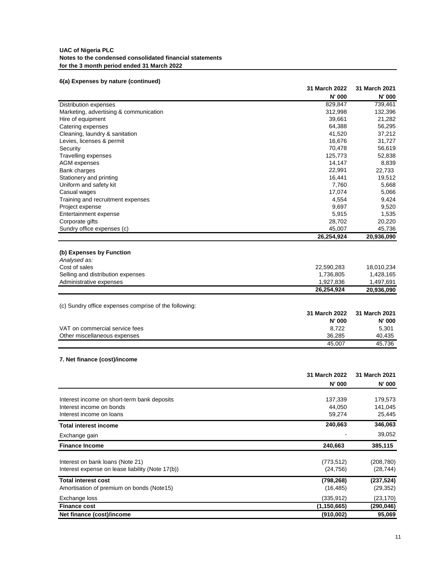## **6(a) Expenses by nature (continued)**

|                                                                | 31 March 2022           | 31 March 2021    |
|----------------------------------------------------------------|-------------------------|------------------|
|                                                                | N' 000                  | N' 000           |
| Distribution expenses                                          | 829,847                 | 739,461          |
| Marketing, advertising & communication                         | 312,998                 | 132,396          |
| Hire of equipment                                              | 39,661                  | 21,282           |
| Catering expenses                                              | 64,388                  | 56,295           |
| Cleaning, laundry & sanitation                                 | 41,520                  | 37,212           |
| Levies, licenses & permit                                      | 16,676                  | 31,727           |
| Security                                                       | 70,478                  | 56,619           |
| Travelling expenses                                            | 125,773                 | 52,838           |
| AGM expenses                                                   | 14,147                  | 8,839            |
| Bank charges                                                   | 22,991                  | 22,733           |
| Stationery and printing                                        | 16,441                  | 19,512           |
| Uniform and safety kit                                         | 7,760                   | 5,668            |
| Casual wages                                                   | 17,074                  | 5,066            |
| Training and recruitment expenses                              | 4,554                   | 9,424            |
| Project expense                                                | 9,697                   | 9,520            |
| Entertainment expense                                          | 5,915                   | 1,535            |
| Corporate gifts                                                | 28,702                  | 20,220           |
| Sundry office expenses (c)                                     | 45,007                  | 45,736           |
|                                                                | 26,254,924              | 20,936,090       |
| (b) Expenses by Function                                       |                         |                  |
| Analysed as:                                                   |                         |                  |
| Cost of sales                                                  |                         |                  |
|                                                                | 22,590,283              | 18,010,234       |
| Selling and distribution expenses<br>Administrative expenses   | 1,736,805               | 1,428,165        |
|                                                                | 1,927,836<br>26,254,924 | 1,497,691        |
|                                                                |                         | 20,936,090       |
| (c) Sundry office expenses comprise of the following:          |                         |                  |
|                                                                | 31 March 2022           | 31 March 2021    |
|                                                                | N' 000                  | N' 000           |
|                                                                |                         |                  |
| VAT on commercial service fees<br>Other miscellaneous expenses | 8,722<br>36,285         | 5,301            |
|                                                                | 45,007                  | 40,435<br>45,736 |
|                                                                |                         |                  |
| 7. Net finance (cost)/income                                   |                         |                  |
|                                                                |                         |                  |
|                                                                | 31 March 2022           | 31 March 2021    |
|                                                                | N' 000                  | N' 000           |
|                                                                |                         |                  |
| Interest income on short-term bank deposits                    | 137,339                 | 179,573          |
| Interest income on bonds                                       | 44,050                  | 141,045          |
| Interest income on loans                                       | 59,274                  | 25,445           |
| <b>Total interest income</b>                                   | 240,663                 | 346,063          |
| Exchange gain                                                  |                         | 39,052           |
| <b>Finance Income</b>                                          | 240,663                 | 385,115          |
|                                                                |                         |                  |
| Interest on bank loans (Note 21)                               | (773, 512)              | (208, 780)       |
| Interest expense on lease liability (Note 17(b))               | (24, 756)               | (28, 744)        |
| <b>Total interest cost</b>                                     | (798, 268)              | (237, 524)       |
| Amortisation of premium on bonds (Note15)                      | (16, 485)               | (29, 352)        |
| Exchange loss                                                  | (335, 912)              | (23, 170)        |
| <b>Finance cost</b>                                            | (1, 150, 665)           | (290, 046)       |
| Net finance (cost)/income                                      | (910, 002)              | 95,069           |
|                                                                |                         |                  |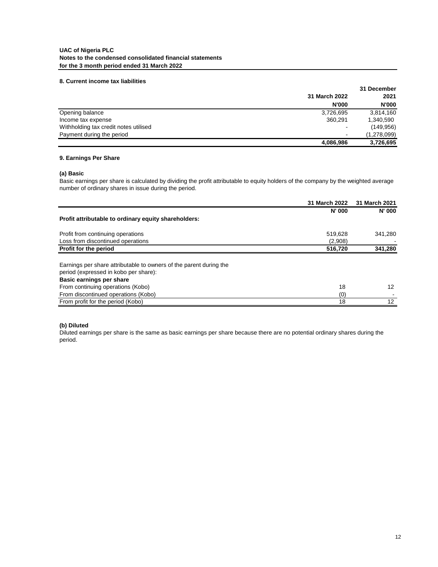## **8. Current income tax liabilities**

|                                       | 31 December              |              |  |      |
|---------------------------------------|--------------------------|--------------|--|------|
|                                       | 31 March 2022            |              |  | 2021 |
|                                       | <b>N'000</b>             | <b>N'000</b> |  |      |
| Opening balance                       | 3,726,695                | 3,814,160    |  |      |
| Income tax expense                    | 360.291                  | 1,340,590    |  |      |
| Withholding tax credit notes utilised | $\overline{\phantom{0}}$ | (149, 956)   |  |      |
| Payment during the period             | $\overline{\phantom{a}}$ | (1,278,099)  |  |      |
|                                       | 4,086,986                | 3,726,695    |  |      |

## **9. Earnings Per Share**

## **(a) Basic**

Basic earnings per share is calculated by dividing the profit attributable to equity holders of the company by the weighted average number of ordinary shares in issue during the period.

|                                                                    | 31 March 2022 | 31 March 2021 |
|--------------------------------------------------------------------|---------------|---------------|
|                                                                    | <b>N' 000</b> | <b>N' 000</b> |
| Profit attributable to ordinary equity shareholders:               |               |               |
| Profit from continuing operations                                  | 519,628       | 341,280       |
| Loss from discontinued operations                                  | (2,908)       |               |
| Profit for the period                                              | 516,720       | 341,280       |
|                                                                    |               |               |
| Earnings per share attributable to owners of the parent during the |               |               |
| period (expressed in kobo per share):                              |               |               |
| Basic earnings per share                                           |               |               |
| From continuing operations (Kobo)                                  | 18            | 12            |
| From discontinued operations (Kobo)                                | (0)           |               |
| From profit for the period (Kobo)                                  | 18            | 12            |

## **(b) Diluted**

Diluted earnings per share is the same as basic earnings per share because there are no potential ordinary shares during the period.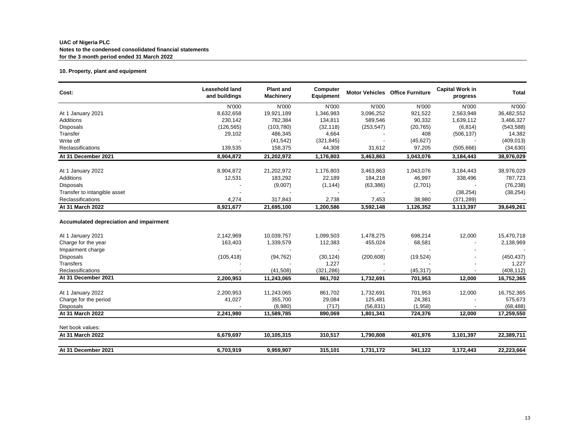## **10. Property, plant and equipment**

| Cost:                                   | <b>Leasehold land</b><br>and buildings | <b>Plant and</b><br><b>Machinery</b> | Computer<br>Equipment |            | <b>Motor Vehicles Office Furniture</b> | <b>Capital Work in</b><br>progress | <b>Total</b> |
|-----------------------------------------|----------------------------------------|--------------------------------------|-----------------------|------------|----------------------------------------|------------------------------------|--------------|
|                                         | N'000                                  | N'000                                | N'000                 | N'000      | N'000                                  | N'000                              | N'000        |
| At 1 January 2021                       | 8,632,658                              | 19,921,189                           | 1,346,983             | 3,096,252  | 921,522                                | 2,563,948                          | 36,482,552   |
| Additions                               | 230,142                                | 782,384                              | 134,811               | 589,546    | 90,332                                 | 1,639,112                          | 3,466,327    |
| <b>Disposals</b>                        | (126, 565)                             | (103, 780)                           | (32, 118)             | (253, 547) | (20, 765)                              | (6, 814)                           | (543, 588)   |
| Transfer                                | 29,102                                 | 486,345                              | 4,664                 |            | 408                                    | (506, 137)                         | 14,382       |
| Write off                               |                                        | (41, 542)                            | (321, 845)            |            | (45, 627)                              |                                    | (409, 013)   |
| Reclassifications                       | 139,535                                | 158,375                              | 44,308                | 31,612     | 97,205                                 | (505, 666)                         | (34, 630)    |
| At 31 December 2021                     | 8,904,872                              | 21,202,972                           | 1,176,803             | 3,463,863  | 1,043,076                              | 3,184,443                          | 38,976,029   |
| At 1 January 2022                       | 8,904,872                              | 21,202,972                           | 1,176,803             | 3,463,863  | 1,043,076                              | 3,184,443                          | 38,976,029   |
| Additions                               | 12,531                                 | 183,292                              | 22,189                | 184,218    | 46,997                                 | 338,496                            | 787,723      |
| <b>Disposals</b>                        |                                        | (9,007)                              | (1, 144)              | (63, 386)  | (2,701)                                |                                    | (76, 238)    |
| Transfer to intangible asset            |                                        |                                      |                       |            |                                        | (38, 254)                          | (38, 254)    |
| Reclassifications                       | 4,274                                  | 317,843                              | 2,738                 | 7,453      | 38,980                                 | (371, 289)                         |              |
| At 31 March 2022                        | 8,921,677                              | 21,695,100                           | 1,200,586             | 3,592,148  | 1,126,352                              | 3,113,397                          | 39,649,261   |
| Accumulated depreciation and impairment |                                        |                                      |                       |            |                                        |                                    |              |
| At 1 January 2021                       | 2,142,969                              | 10,039,757                           | 1,099,503             | 1,478,275  | 698,214                                | 12,000                             | 15,470,718   |
| Charge for the year                     | 163,403                                | 1,339,579                            | 112,383               | 455,024    | 68,581                                 |                                    | 2,138,969    |
| Impairment charge                       |                                        |                                      |                       |            |                                        |                                    |              |
| <b>Disposals</b>                        | (105, 418)                             | (94, 762)                            | (30, 124)             | (200, 608) | (19, 524)                              |                                    | (450, 437)   |
| Transfers                               |                                        |                                      | 1,227                 |            |                                        |                                    | 1,227        |
| <b>Reclassifications</b>                |                                        | (41,508)                             | (321, 286)            |            | (45, 317)                              |                                    | (408, 112)   |
| At 31 December 2021                     | 2,200,953                              | 11,243,065                           | 861,702               | 1,732,691  | 701,953                                | 12,000                             | 16,752,365   |
| At 1 January 2022                       | 2,200,953                              | 11,243,065                           | 861,702               | 1,732,691  | 701,953                                | 12,000                             | 16,752,365   |
| Charge for the period                   | 41,027                                 | 355,700                              | 29,084                | 125,481    | 24,381                                 |                                    | 575,673      |
| <b>Disposals</b>                        |                                        | (8,980)                              | (717)                 | (56, 831)  | (1,958)                                |                                    | (68, 488)    |
| At 31 March 2022                        | 2,241,980                              | 11,589,785                           | 890,069               | 1,801,341  | 724,376                                | 12,000                             | 17,259,550   |
| Net book values:                        |                                        |                                      |                       |            |                                        |                                    |              |
| At 31 March 2022                        | 6,679,697                              | 10.105,315                           | 310,517               | 1,790,808  | 401,976                                | 3,101,397                          | 22,389,711   |
| At 31 December 2021                     | 6,703,919                              | 9,959,907                            | 315,101               | 1,731,172  | 341,122                                | 3,172,443                          | 22,223,664   |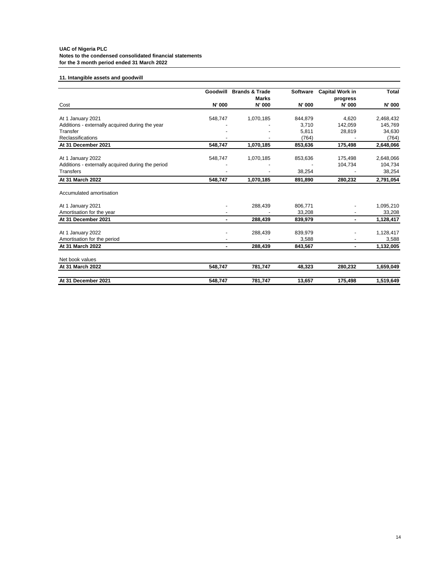# **11. Intangible assets and goodwill**

|                                                   |         | Goodwill Brands & Trade | Software | <b>Capital Work in</b>    | <b>Total</b> |
|---------------------------------------------------|---------|-------------------------|----------|---------------------------|--------------|
| Cost                                              | N' 000  | <b>Marks</b><br>N' 000  | N' 000   | progress<br><b>N' 000</b> | N' 000       |
|                                                   |         |                         |          |                           |              |
| At 1 January 2021                                 | 548,747 | 1,070,185               | 844,879  | 4.620                     | 2,468,432    |
| Additions - externally acquired during the year   |         |                         | 3,710    | 142,059                   | 145,769      |
| Transfer                                          |         |                         | 5,811    | 28,819                    | 34,630       |
| Reclassifications                                 |         |                         | (764)    |                           | (764)        |
| At 31 December 2021                               | 548,747 | 1,070,185               | 853,636  | 175,498                   | 2,648,066    |
| At 1 January 2022                                 | 548,747 | 1,070,185               | 853,636  | 175,498                   | 2,648,066    |
| Additions - externally acquired during the period |         |                         |          | 104,734                   | 104,734      |
| <b>Transfers</b>                                  |         |                         | 38,254   |                           | 38,254       |
| At 31 March 2022                                  | 548.747 | 1,070,185               | 891.890  | 280,232                   | 2,791,054    |
| Accumulated amortisation                          |         |                         |          |                           |              |
| At 1 January 2021                                 |         | 288,439                 | 806,771  |                           | 1,095,210    |
| Amortisation for the year                         |         |                         | 33,208   |                           | 33,208       |
| At 31 December 2021                               |         | 288,439                 | 839,979  | ۰.                        | 1,128,417    |
| At 1 January 2022                                 |         | 288,439                 | 839,979  |                           | 1,128,417    |
| Amortisation for the period                       |         |                         | 3,588    |                           | 3,588        |
| At 31 March 2022                                  | ٠       | 288,439                 | 843,567  | ۰.                        | 1,132,005    |
| Net book values                                   |         |                         |          |                           |              |
| At 31 March 2022                                  | 548,747 | 781,747                 | 48,323   | 280,232                   | 1,659,049    |
| At 31 December 2021                               | 548,747 | 781,747                 | 13.657   | 175,498                   | 1,519,649    |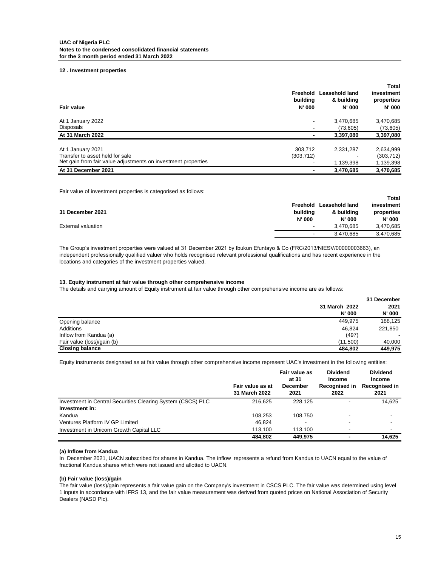#### **12 . Investment properties**

| Fair value                                                    | Freehold<br>building<br><b>N' 000</b> | Leasehold land<br>& building<br><b>N' 000</b> | Total<br>investment<br>properties<br>N' 000 |
|---------------------------------------------------------------|---------------------------------------|-----------------------------------------------|---------------------------------------------|
| At 1 January 2022                                             |                                       | 3,470,685                                     | 3,470,685                                   |
| Disposals                                                     |                                       | (73,605)                                      | (73, 605)                                   |
| At 31 March 2022                                              |                                       | 3,397,080                                     | 3,397,080                                   |
| At 1 January 2021                                             | 303.712                               | 2,331,287                                     | 2,634,999                                   |
| Transfer to asset held for sale                               | (303, 712)                            |                                               | (303, 712)                                  |
| Net gain from fair value adjustments on investment properties |                                       | 1,139,398                                     | 1,139,398                                   |
| At 31 December 2021                                           |                                       | 3,470,685                                     | 3,470,685                                   |

Fair value of investment properties is categorised as follows:

|                           |               |                | Total         |
|---------------------------|---------------|----------------|---------------|
|                           | Freehold      | Leasehold land | investment    |
| 31 December 2021          | buildina      | & building     | properties    |
|                           | <b>N' 000</b> | <b>N' 000</b>  | <b>N' 000</b> |
| <b>External valuation</b> | $\,$          | 3.470.685      | 3,470,685     |
|                           | $\,$          | 3.470.685      | 3,470,685     |

The Group's investment properties were valued at 31 December 2021 by Ibukun Efuntayo & Co (FRC/2013/NIESV/00000003663), an independent professionally qualified valuer who holds recognised relevant professional qualifications and has recent experience in the locations and categories of the investment properties valued.

#### **13. Equity instrument at fair value through other comprehensive income**

The details and carrying amount of Equity instrument at fair value through other comprehensive income are as follows: **The Group**

|                            |               | 31 December   |
|----------------------------|---------------|---------------|
|                            | 31 March 2022 | 2021          |
|                            | <b>N' 000</b> | <b>N' 000</b> |
| Opening balance            | 449.975       | 188.125       |
| Additions                  | 46.824        | 221,850       |
| Inflow from Kandua (a)     | (497)         |               |
| Fair value (loss)/gain (b) | (11.500)      | 40,000        |
| <b>Closing balance</b>     | 484.802       | 449.975       |

Equity instruments designated as at fair value through other comprehensive income represent UAC's investment in the following entities:

|                                                             |                                   | Fair value as<br>at 31  | <b>Dividend</b><br>Income | <b>Dividend</b><br>Income |
|-------------------------------------------------------------|-----------------------------------|-------------------------|---------------------------|---------------------------|
|                                                             | Fair value as at<br>31 March 2022 | <b>December</b><br>2021 | Recognised in<br>2022     | Recognised in<br>2021     |
| Investment in Central Securities Clearing System (CSCS) PLC | 216.625                           | 228.125                 | -                         | 14.625                    |
| Investment in:                                              |                                   |                         |                           |                           |
| Kandua                                                      | 108.253                           | 108.750                 | ۰                         |                           |
| Ventures Platform IV GP Limited                             | 46.824                            |                         |                           |                           |
| Investment in Unicorn Growth Capital LLC                    | 113.100                           | 113.100                 |                           |                           |
|                                                             | 484.802                           | 449.975                 | $\blacksquare$            | 14.625                    |

#### **(a) Inflow from Kandua**

In December 2021, UACN subscribed for shares in Kandua. The inflow represents a refund from Kandua to UACN equal to the value of fractional Kandua shares which were not issued and allotted to UACN.

### **(b) Fair value (loss)/gain**

The fair value (loss)/gain represents a fair value gain on the Company's investment in CSCS PLC. The fair value was determined using level 1 inputs in accordance with IFRS 13, and the fair value measurement was derived from quoted prices on National Association of Security Dealers (NASD Plc).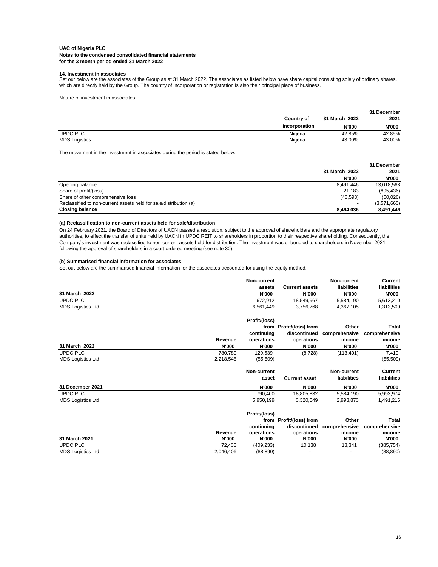### **14. Investment in associates**

Set out below are the associates of the Group as at 31 March 2022. The associates as listed below have share capital consisting solely of ordinary shares, which are directly held by the Group. The country of incorporation or registration is also their principal place of business.

Nature of investment in associates:

|                      | <b>Country of</b> | 31 March 2022 | 31 December<br>2021 |
|----------------------|-------------------|---------------|---------------------|
|                      | incorporation     | <b>N'000</b>  | <b>N'000</b>        |
| <b>UPDC PLC</b>      | Nigeria           | 42.85%        | 42.85%              |
| <b>MDS Logistics</b> | Nigeria           | 43.00%        | 43.00%              |

The movement in the investment in associates during the period is stated below:

|                                                                   |               | 31 December  |
|-------------------------------------------------------------------|---------------|--------------|
|                                                                   | 31 March 2022 | 2021         |
|                                                                   | <b>N'000</b>  | <b>N'000</b> |
| Opening balance                                                   | 8.491.446     | 13,018,568   |
| Share of profit/(loss)                                            | 21.183        | (895, 436)   |
| Share of other comprehensive loss                                 | (48, 593)     | (60, 026)    |
| Reclassified to non-current assets held for sale/distribution (a) |               | (3,571,660)  |
| <b>Closing balance</b>                                            | 8.464.036     | 8,491,446    |

## **(a) Reclassification to non-current assets held for sale/distribution**

On 24 February 2021, the Board of Directors of UACN passed a resolution, subject to the approval of shareholders and the appropriate regulatory authorities, to effect the transfer of units held by UACN in UPDC REIT to shareholders in proportion to their respective shareholding. Consequently, the Company's investment was reclassified to non-current assets held for distribution. The investment was unbundled to shareholders in November 2021, following the approval of shareholders in a court ordered meeting (see note 30).

### **(b) Summarised financial information for associates**

Set out below are the summarised financial information for the associates accounted for using the equity method.

|                          |              | Non-current   |                         | Non-current   | <b>Current</b> |
|--------------------------|--------------|---------------|-------------------------|---------------|----------------|
|                          |              | assets        | <b>Current assets</b>   | liabilities   | liabilities    |
| 31 March 2022            |              | <b>N'000</b>  | <b>N'000</b>            | <b>N'000</b>  | <b>N'000</b>   |
| <b>UPDC PLC</b>          |              | 672.912       | 18,549,967              | 5,584,190     | 5,613,210      |
| <b>MDS Logistics Ltd</b> |              | 6,561,449     | 3,756,768               | 4,367,105     | 1,313,509      |
|                          |              | Profit/(loss) |                         |               |                |
|                          |              |               | from Profit/(loss) from | Other         | Total          |
|                          |              | continuing    | discontinued            | comprehensive | comprehensive  |
|                          | Revenue      | operations    | operations              | income        | income         |
| 31 March 2022            | <b>N'000</b> | <b>N'000</b>  | <b>N'000</b>            | <b>N'000</b>  | <b>N'000</b>   |
| <b>UPDC PLC</b>          | 780.780      | 129,539       | (8, 728)                | (113, 401)    | 7,410          |
| <b>MDS Logistics Ltd</b> | 2,218,548    | (55, 509)     |                         |               | (55, 509)      |
|                          |              | Non-current   |                         | Non-current   | <b>Current</b> |
|                          |              | asset         | <b>Current asset</b>    | liabilities   | liabilities    |
| 31 December 2021         |              | <b>N'000</b>  | <b>N'000</b>            | N'000         | <b>N'000</b>   |
| UPDC PLC                 |              | 790,400       | 18,805,832              | 5,584,190     | 5,993,974      |
| <b>MDS Logistics Ltd</b> |              | 5,950,199     | 3,320,549               | 2,993,873     | 1,491,216      |
|                          |              | Profit/(loss) |                         |               |                |
|                          |              |               | from Profit/(loss) from | Other         | <b>Total</b>   |
|                          |              | continuing    | discontinued            | comprehensive | comprehensive  |
|                          | Revenue      | operations    | operations              | income        | income         |
| 31 March 2021            | <b>N'000</b> | <b>N'000</b>  | <b>N'000</b>            | <b>N'000</b>  | <b>N'000</b>   |
| <b>UPDC PLC</b>          | 72,438       | (409, 233)    | 10,138                  | 13,341        | (385, 754)     |
| <b>MDS Logistics Ltd</b> | 2,046,406    | (88, 890)     |                         |               | (88, 890)      |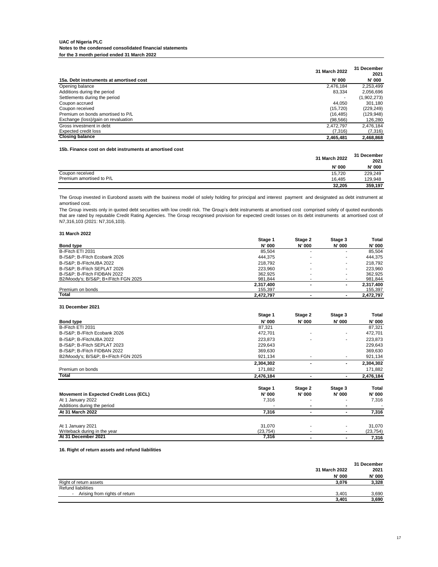|                                         | 31 March 2022 | 31 December<br>2021 |
|-----------------------------------------|---------------|---------------------|
| 15a. Debt instruments at amortised cost | <b>N' 000</b> | <b>N' 000</b>       |
| Opening balance                         | 2.476.184     | 2,253,499           |
| Additions during the period             | 83.334        | 2.056.696           |
| Settlements during the period           | -             | (1,902,273)         |
| Coupon accrued                          | 44.050        | 301.180             |
| Coupon received                         | (15, 720)     | (229, 249)          |
| Premium on bonds amortised to P/L       | (16.485)      | (129, 948)          |
| Exchange (loss)/gain on revaluation     | (98, 566)     | 126,280             |
| Gross investment in debt                | 2.472.797     | 2,476,184           |
| Expected credit loss                    | (7,316)       | (7,316)             |
| <b>Closing balance</b>                  | 2,465,481     | 2,468,868           |

#### **15b. Finance cost on debt instruments at amortised cost**

|                          | 31 March 2022 | 31 December<br>2021 |
|--------------------------|---------------|---------------------|
|                          | N' 000        | N' 000              |
| Coupon received          | 15,720        | 229,249             |
| Premium amortised to P/L | 16.485        | 129,948             |
|                          | 32.205        | 359,197             |

The Group invested in Eurobond assets with the business model of solely holding for principal and interest payment and designated as debt instrument at amortised cost.

The Group invests only in quoted debt securities with low credit risk. The Group's debt instruments at amortised cost comprised solely of quoted eurobonds that are rated by reputable Credit Rating Agencies. The Group recognised provision for expected credit losses on its debt instruments at amortised cost of N7,316,103 (2021: N7,316,103).

### **31 March 2022**

|                                      | Stage 1       | Stage 2                  | Stage 3 | Total     |
|--------------------------------------|---------------|--------------------------|---------|-----------|
| <b>Bond type</b>                     | <b>N' 000</b> | <b>N' 000</b>            | N' 000  | N' 000    |
| B-/Fitch ETI 2031                    | 85.504        |                          |         | 85.504    |
| B-/S&P: B-/Fitch Ecobank 2026        | 444.375       |                          |         | 444.375   |
| B-/S&P: B-/FitchUBA 2022             | 218,792       |                          |         | 218.792   |
| B-/S&P: B-/Fitch SEPLAT 2026         | 223.960       |                          |         | 223.960   |
| B-/S&P: B-/Fitch FIDBAN 2022         | 362.925       | ۰                        |         | 362.925   |
| B2/Moody's: B/S&P: B+/Fitch FGN 2025 | 981.844       |                          |         | 981,844   |
|                                      | 2.317.400     | $\overline{\phantom{0}}$ |         | 2.317.400 |
| Premium on bonds                     | 155.397       |                          |         | 155,397   |
| Total                                | 2.472.797     |                          |         | 2.472.797 |

#### **31 December 2021**

|                                        | Stage 1       | Stage 2       | Stage 3 | Total     |
|----------------------------------------|---------------|---------------|---------|-----------|
| <b>Bond type</b>                       | <b>N' 000</b> | <b>N' 000</b> | N' 000  | N' 000    |
| B-/Fitch ETI 2031                      | 87,321        |               |         | 87,321    |
| B-/S&P B-/Fitch Ecobank 2026           | 472,701       |               |         | 472,701   |
| B-/S&P: B-/FitchUBA 2022               | 223,873       |               | ۰       | 223,873   |
| B-/S&P: B-/Fitch SEPLAT 2023           | 229,643       |               |         | 229,643   |
| B-/S&P: B-/Fitch FIDBAN 2022           | 369,630       |               |         | 369,630   |
| B2/Moody's; B/S&P B+/Fitch FGN 2025    | 921,134       |               |         | 921,134   |
|                                        | 2,304,302     |               |         | 2,304,302 |
| Premium on bonds                       | 171,882       |               |         | 171,882   |
| Total                                  | 2,476,184     |               |         | 2,476,184 |
|                                        | Stage 1       | Stage 2       | Stage 3 | Total     |
| Movement in Expected Credit Loss (ECL) | <b>N' 000</b> | <b>N' 000</b> | N' 000  | N' 000    |
| At 1 January 2022                      | 7,316         |               |         | 7,316     |
| Additions during the period            |               |               |         |           |
| At 31 March 2022                       | 7,316         |               |         | 7,316     |
| At 1 January 2021                      | 31,070        |               |         | 31,070    |
| Writeback during in the year           | (23, 754)     |               | ۰       | (23, 754) |
| At 31 December 2021                    | 7,316         |               |         | 7,316     |

#### **16. Right of return assets and refund liabilities**

|                                                           |               | 31 December   |
|-----------------------------------------------------------|---------------|---------------|
|                                                           | 31 March 2022 | 2021          |
|                                                           | N' 000        | <b>N' 000</b> |
| Right of return assets                                    | 3.076         | 3,328         |
| Refund liabilities                                        |               |               |
| Arising from rights of return<br>$\overline{\phantom{a}}$ | 3.401         | 3,690         |
|                                                           | 3.401         | 3.690         |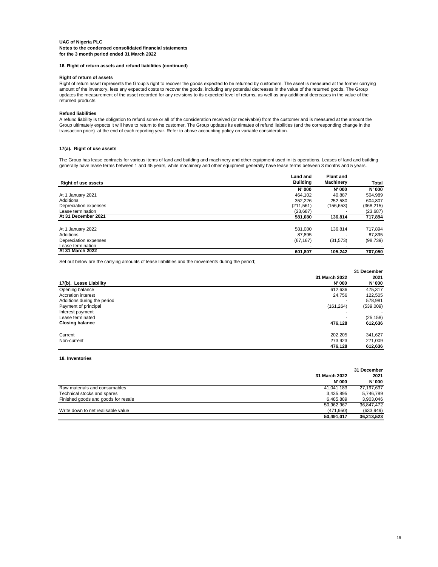#### **16. Right of return assets and refund liabilities (continued)**

#### **Right of return of assets**

Right of return asset represents the Group's right to recover the goods expected to be returned by customers. The asset is measured at the former carrying amount of the inventory, less any expected costs to recover the goods, including any potential decreases in the value of the returned goods. The Group updates the measurement of the asset recorded for any revisions to its expected level of returns, as well as any additional decreases in the value of the returned products.

### **Refund liabilities**

A refund liability is the obligation to refund some or all of the consideration received (or receivable) from the customer and is measured at the amount the Group ultimately expects it will have to return to the customer. The Group updates its estimates of refund liabilities (and the corresponding change in the transaction price) at the end of each reporting year. Refer to above accounting policy on variable consideration.

### **17(a). Right of use assets**

The Group has lease contracts for various items of land and building and machinery and other equipment used in its operations. Leases of land and building generally have lease terms between 1 and 45 years, while machinery and other equipment generally have lease terms between 3 months and 5 years.

|                            | <b>Land and</b> | <b>Plant and</b> |               |  |
|----------------------------|-----------------|------------------|---------------|--|
| <b>Right of use assets</b> | <b>Building</b> | Machinery        | Total         |  |
|                            | <b>N' 000</b>   | <b>N' 000</b>    | <b>N' 000</b> |  |
| At 1 January 2021          | 464.102         | 40.887           | 504.989       |  |
| Additions                  | 352.226         | 252.580          | 604.807       |  |
| Depreciation expenses      | (211, 561)      | (156, 653)       | (368, 215)    |  |
| Lease termination          | (23.687)        |                  | (23, 687)     |  |
| At 31 December 2021        | 581.080         | 136.814          | 717,894       |  |
| At 1 January 2022          | 581.080         | 136.814          | 717.894       |  |
| Additions                  | 87.895          |                  | 87.895        |  |
| Depreciation expenses      | (67, 167)       | (31, 573)        | (98, 739)     |  |
| Lease termination          |                 |                  |               |  |
| At 31 March 2022           | 601.807         | 105.242          | 707,050       |  |

Set out below are the carrying amounts of lease liabilities and the movements during the period;

|                             | 31 March 2022 | 2021      |  |
|-----------------------------|---------------|-----------|--|
| 17(b). Lease Liability      | N' 000        | N' 000    |  |
| Opening balance             | 612.636       | 475,317   |  |
| Accretion interest          | 24.756        | 122,505   |  |
| Additions during the period |               | 578,981   |  |
| Payment of principal        | (161, 264)    | (539,009) |  |
| Interest payment            |               |           |  |
| Lease terminated            |               | (25, 158) |  |
| <b>Closing balance</b>      | 476,128       | 612,636   |  |
| Current                     | 202.205       | 341,627   |  |
| Non-current                 | 273,923       | 271,009   |  |
|                             | 476,128       | 612,636   |  |

### **18. Inventories**

|                                     | 31 March 2022<br><b>N' 000</b> | 31 December<br>2021<br>N' 000 |
|-------------------------------------|--------------------------------|-------------------------------|
| Raw materials and consumables       | 41.041.183                     | 27.197.637                    |
| Technical stocks and spares         | 3,435,895                      | 5.746.789                     |
| Finished goods and goods for resale | 6.485.889                      | 3,903,046                     |
|                                     | 50,962,967                     | 36,847,472                    |
| Write down to net realisable value  | (471, 950)                     | (633, 949)                    |
|                                     | 50.491.017                     | 36.213.523                    |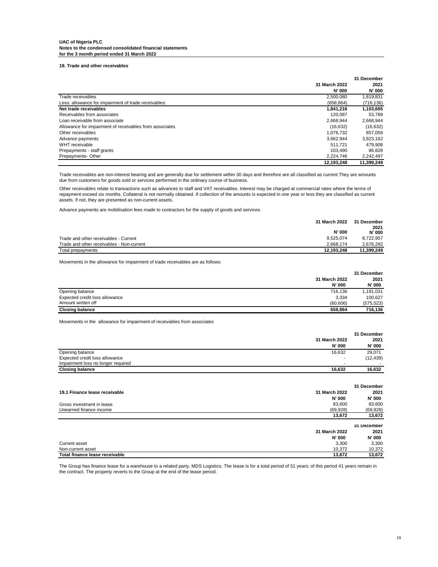**19. Trade and other receivables**

|                                                         |               | 31 December   |
|---------------------------------------------------------|---------------|---------------|
|                                                         | 31 March 2022 | 2021          |
|                                                         | <b>N' 000</b> | <b>N' 000</b> |
| Trade receivables                                       | 2,500,080     | 1,819,831     |
| Less: allowance for impairment of trade receivables     | (658, 864)    | (716, 136)    |
| Net trade receivables                                   | 1,841,216     | 1,103,695     |
| Receivables from associates                             | 120.087       | 53,789        |
| Loan receivable from associate                          | 2,668,944     | 2,668,944     |
| Allowance for impairment of receivables from associates | (16, 632)     | (16, 632)     |
| Other receivables                                       | 1.076.732     | 857.059       |
| Advance payments                                        | 3.662.944     | 3,923,162     |
| WHT receivable                                          | 511.721       | 479.908       |
| Prepayments - staff grants                              | 103.490       | 86.828        |
| Prepayments-Other                                       | 2.224.746     | 2,242,497     |
|                                                         | 12.193.248    | 11.399.249    |

Trade receivables are non-interest bearing and are generally due for settlement within 30 days and therefore are all classified as current.They are amounts due from customers for goods sold or services performed in the ordinary course of business.

Other receivables relate to transactions such as advances to staff and VAT receivables. Interest may be charged at commercial rates where the terms of repayment exceed six months. Collateral is not normally obtained. If collection of the amounts is expected in one year or less they are classified as current assets. If not, they are presented as non-current assets.

Advance payments are mobilisation fees made to contractors for the supply of goods and services.

| 31 March 2022                                          | 31 December           |
|--------------------------------------------------------|-----------------------|
| <b>N' 000</b>                                          | 2021<br><b>N' 000</b> |
| 9.525.074<br>Trade and other receivables - Current     | 8.722.957             |
| Trade and other receivables - Non-current<br>2.668.174 | 2.676.292             |
| 12.193.248<br>Total prepayments                        | 11.399.249            |

Movements in the allowance for impairment of trade receivables are as follows:

|                                |               | 31 December |
|--------------------------------|---------------|-------------|
|                                | 31 March 2022 | 2021        |
|                                | <b>N' 000</b> | N' 000      |
| Opening balance                | 716.136       | 1,191,031   |
| Expected credit loss allowance | 3.334         | 100.627     |
| Amount written off             | (60.606)      | (575, 523)  |
| <b>Closing balance</b>         | 658.864       | 716.136     |

Movements in the allowance for impairment of receivables from associates

|                                    |                          | 31 December   |
|------------------------------------|--------------------------|---------------|
|                                    | 31 March 2022            | 2021          |
|                                    | <b>N' 000</b>            | <b>N' 000</b> |
| Opening balance                    | 16,632                   | 29.071        |
| Expected credit loss allowance     | . .                      | (12, 439)     |
| Impairment loss no longer required | $\overline{\phantom{a}}$ |               |
| <b>Closing balance</b>             | 16.632                   | 16.632        |

|                               |               | 31 December   |
|-------------------------------|---------------|---------------|
| 19.1 Finance lease receivable | 31 March 2022 | 2021          |
|                               | <b>N' 000</b> | <b>N' 000</b> |
| Gross investment in lease     | 83,600        | 83,600        |
| Unearned finance income       | (69, 928)     | (69, 928)     |
|                               | 13,672        | 13,672        |
|                               |               |               |
|                               |               | 31 December   |
|                               | 31 March 2022 | 2021          |
|                               | <b>N' 000</b> | <b>N' 000</b> |
| Current asset                 | 3,300         | 3,300         |
| Non-current asset             | 10.372        | 10,372        |

The Group has finance lease for a warehouse to a related party, MDS Logistics. The lease is for a total period of 51 years; of this period 41 years remain in the contract. The property reverts to the Group at the end of the lease period.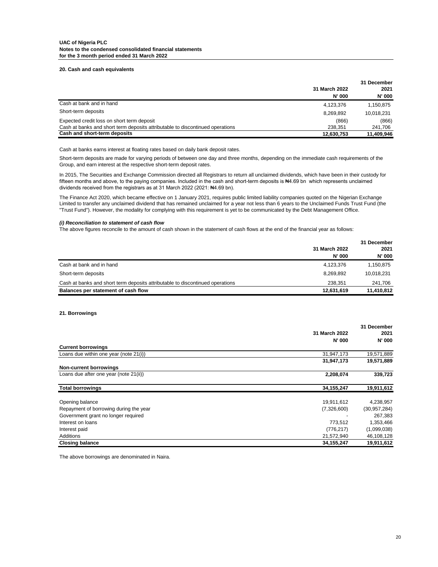#### **20. Cash and cash equivalents**

|                                                                               | 31 March 2022<br><b>N' 000</b> | 31 December<br>2021<br><b>N' 000</b> |
|-------------------------------------------------------------------------------|--------------------------------|--------------------------------------|
| Cash at bank and in hand                                                      | 4,123,376                      | 1,150,875                            |
| Short-term deposits                                                           | 8,269,892                      | 10,018,231                           |
| Expected credit loss on short term deposit                                    | (866)                          | (866)                                |
| Cash at banks and short term deposits attributable to discontinued operations | 238.351                        | 241,706                              |
| Cash and short-term deposits                                                  | 12,630,753                     | 11,409,946                           |

Cash at banks earns interest at floating rates based on daily bank deposit rates.

Short-term deposits are made for varying periods of between one day and three months, depending on the immediate cash requirements of the Group, and earn interest at the respective short-term deposit rates.

In 2015, The Securities and Exchange Commission directed all Registrars to return all unclaimed dividends, which have been in their custody for fifteen months and above, to the paying companies. Included in the cash and short-term deposits is #4.69 bn which represents unclaimed dividends received from the registrars as at 31 March 2022 (2021: ₦4.69 bn).

The Finance Act 2020, which became effective on 1 January 2021, requires public limited liability companies quoted on the Nigerian Exchange Limited to transfer any unclaimed dividend that has remained unclaimed for a year not less than 6 years to the Unclaimed Funds Trust Fund (the "Trust Fund"). However, the modality for complying with this requirement is yet to be communicated by the Debt Management Office.

#### *(i) Reconciliation to statement of cash flow*

The above figures reconcile to the amount of cash shown in the statement of cash flows at the end of the financial year as follows:

|                                                                               | 31 March 2022<br><b>N' 000</b> | 31 December<br>2021<br>N' 000 |
|-------------------------------------------------------------------------------|--------------------------------|-------------------------------|
| Cash at bank and in hand                                                      | 4,123,376                      | 1,150,875                     |
| Short-term deposits                                                           | 8,269,892                      | 10,018,231                    |
| Cash at banks and short term deposits attributable to discontinued operations | 238.351                        | 241.706                       |
| Balances per statement of cash flow                                           | 12,631,619                     | 11,410,812                    |

## **21. Borrowings**

|                                        |               | 31 December    |
|----------------------------------------|---------------|----------------|
|                                        | 31 March 2022 | 2021           |
|                                        | <b>N' 000</b> | N' 000         |
| <b>Current borrowings</b>              |               |                |
| Loans due within one year (note 21(i)) | 31,947,173    | 19,571,889     |
|                                        | 31,947,173    | 19,571,889     |
| <b>Non-current borrowings</b>          |               |                |
| Loans due after one year (note 21(ii)) | 2,208,074     | 339,723        |
| <b>Total borrowings</b>                | 34, 155, 247  | 19,911,612     |
| Opening balance                        | 19,911,612    | 4,238,957      |
| Repayment of borrowing during the year | (7,326,600)   | (30, 957, 284) |
| Government grant no longer required    |               | 267,383        |
| Interest on loans                      | 773,512       | 1,353,466      |
| Interest paid                          | (776, 217)    | (1,099,038)    |
| Additions                              | 21,572,940    | 46,108,128     |
| <b>Closing balance</b>                 | 34, 155, 247  | 19,911,612     |

The above borrowings are denominated in Naira.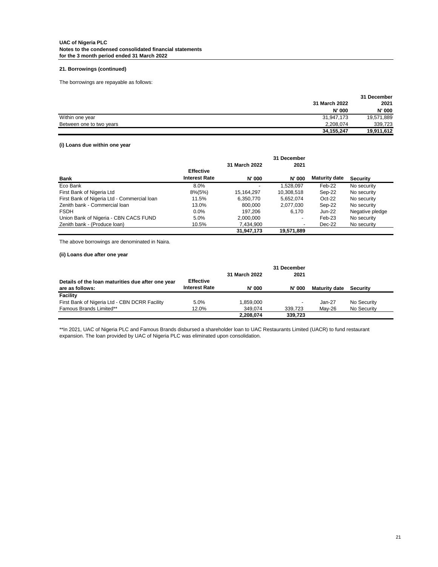### **21. Borrowings (continued)**

The borrowings are repayable as follows:

|                          |               | 31 December |
|--------------------------|---------------|-------------|
|                          | 31 March 2022 | 2021        |
|                          | N' 000        | N' 000      |
| Within one year          | 31,947,173    | 19,571,889  |
| Between one to two years | 2,208,074     | 339.723     |
|                          | 34, 155, 247  | 19,911,612  |

## **(i) Loans due within one year**

|                                             |                      |               | 31 December              |                      |                 |
|---------------------------------------------|----------------------|---------------|--------------------------|----------------------|-----------------|
|                                             |                      | 31 March 2022 | 2021                     |                      |                 |
|                                             | <b>Effective</b>     |               |                          |                      |                 |
| Bank                                        | <b>Interest Rate</b> | <b>N' 000</b> | <b>N' 000</b>            | <b>Maturity date</b> | <b>Security</b> |
| Eco Bank                                    | 8.0%                 |               | 1,528,097                | Feb-22               | No security     |
| First Bank of Nigeria Ltd                   | 8%(5%)               | 15,164,297    | 10,308,518               | Sep-22               | No security     |
| First Bank of Nigeria Ltd - Commercial Ioan | 11.5%                | 6,350,770     | 5.652.074                | $Oct-22$             | No security     |
| Zenith bank - Commercial loan               | 13.0%                | 800.000       | 2,077,030                | Sep-22               | No security     |
| <b>FSDH</b>                                 | $0.0\%$              | 197.206       | 6.170                    | $Jun-22$             | Negative pledge |
| Union Bank of Nigeria - CBN CACS FUND       | 5.0%                 | 2,000,000     | $\overline{\phantom{a}}$ | Feb-23               | No security     |
| Zenith bank - (Produce loan)                | 10.5%                | 7,434,900     |                          | Dec-22               | No security     |
|                                             |                      | 31,947,173    | 19,571,889               |                      |                 |

The above borrowings are denominated in Naira.

**(ii) Loans due after one year**

|                                                                      |                                          | 31 March 2022 | 31 December<br>2021      |                      |             |
|----------------------------------------------------------------------|------------------------------------------|---------------|--------------------------|----------------------|-------------|
| Details of the loan maturities due after one year<br>are as follows: | <b>Effective</b><br><b>Interest Rate</b> | <b>N' 000</b> | <b>N' 000</b>            | <b>Maturity date</b> | Security    |
| Facility                                                             |                                          |               |                          |                      |             |
| First Bank of Nigeria Ltd - CBN DCRR Facility                        | 5.0%                                     | 1.859.000     | $\overline{\phantom{a}}$ | $Jan-27$             | No Security |
| Famous Brands Limited**                                              | 12.0%                                    | 349.074       | 339.723                  | Mav-26               | No Security |
|                                                                      |                                          | 2,208,074     | 339.723                  |                      |             |

\*\*In 2021, UAC of Nigeria PLC and Famous Brands disbursed a shareholder loan to UAC Restaurants Limited (UACR) to fund restaurant expansion. The loan provided by UAC of Nigeria PLC was eliminated upon consolidation.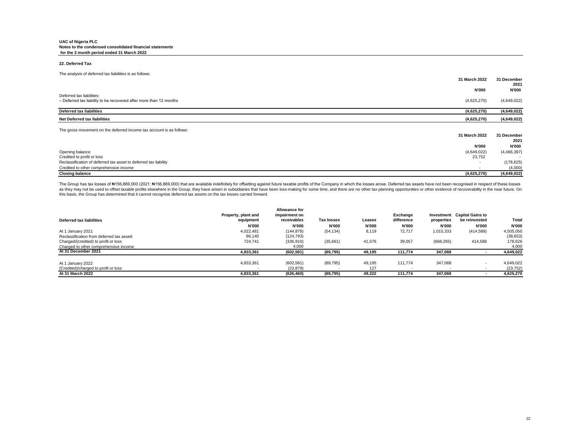#### **22. Deferred Tax**

| The analysis of deferred tax liabilities is as follows:              |                          |                     |
|----------------------------------------------------------------------|--------------------------|---------------------|
|                                                                      | 31 March 2022            | 31 December<br>2021 |
|                                                                      | N'000                    | N'000               |
| Deferred tax liabilities:                                            |                          |                     |
| - Deferred tax liability to be recovered after more than 12 months   | (4,625,270)              | (4,649,022)         |
| <b>Deferred tax liabilities</b>                                      | (4,625,270)              | (4,649,022)         |
| Net Deferred tax liabilities                                         | (4,625,270)              | (4,649,022)         |
| The gross movement on the deferred income tax account is as follows: |                          |                     |
|                                                                      | 31 March 2022            | 31 December         |
|                                                                      |                          | 2021                |
|                                                                      | N'000                    | <b>N'000</b>        |
| Opening balance                                                      | (4,649,022)              | (4, 466, 397)       |
| Credited to profit or loss                                           | 23,752                   |                     |
| Reclassification of deferred tax asset to deferred tax liability     | $\overline{\phantom{a}}$ | (178, 625)          |
| Credited to other comprehensive income                               |                          | (4,000)             |
| <b>Closing balance</b>                                               | (4,625,270)              | (4,649,022)         |

The Group has tax losses of N156,869,000 (2021: N156,869,000) that are available indefinitely for offsetting against future taxable profits of the Company in which the losses arose. Deferred tax assets have not been recogn this basis, the Group has determined that it cannot recognise deferred tax assets on the tax losses carried forward.

| Deferred tax liabilities                  | Property, plant and<br>equipment<br><b>N'000</b> | <b>Allowance for</b><br>impairment on<br>receivables<br>N'000 | <b>Tax losses</b><br><b>N'000</b> | Leases<br>N'000 | Exchange<br>difference<br>N'000 | Investment<br>properties<br><b>N'000</b> | <b>Capital Gains to</b><br>be reinvested<br><b>N'000</b> | Total<br><b>N'000</b> |
|-------------------------------------------|--------------------------------------------------|---------------------------------------------------------------|-----------------------------------|-----------------|---------------------------------|------------------------------------------|----------------------------------------------------------|-----------------------|
| At 1 January 2021                         | 4,022,481                                        | (144, 878)                                                    | (54, 134)                         | 8,119           | 72,717                          | 1,015,333                                | (414,588)                                                | 4,505,050             |
| Reclassification from deferred tax assett | 86,140                                           | (124, 793)                                                    |                                   |                 |                                 |                                          |                                                          | (38, 653)             |
| Charged/(credited) to profit or loss      | 724.741                                          | (336, 910)                                                    | (35,661)                          | 41,076          | 39,057                          | (668, 265)                               | 414,588                                                  | 178,626               |
| Charged to other comprehensive income     |                                                  | 4,000                                                         |                                   |                 |                                 |                                          |                                                          | 4,000                 |
| At 31 December 2021                       | 4,833,361                                        | (602, 581)                                                    | (89,795)                          | 49,195          | 111.774                         | 347,068                                  |                                                          | 4,649,022             |
| At 1 January 2022                         | 4,833,361                                        | (602, 581)                                                    | (89, 795)                         | 49,195          | 111.774                         | 347.068                                  |                                                          | 4,649,022             |
| (Credited)/charged to profit or loss      |                                                  | (23, 879)                                                     |                                   | 127             |                                 |                                          |                                                          | (23, 752)             |
| At 31 March 2022                          | 4,833,361                                        | (626, 460)                                                    | (89, 795)                         | 49,322          | 111.774                         | 347,068                                  |                                                          | 4,625,270             |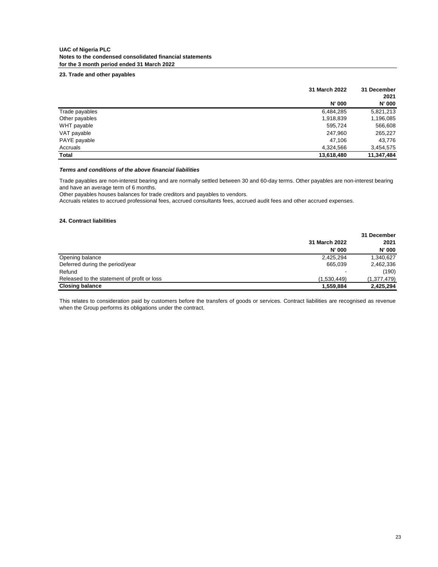## **23. Trade and other payables**

|                | 31 March 2022 |               |
|----------------|---------------|---------------|
|                |               | 2021          |
|                | <b>N' 000</b> | <b>N' 000</b> |
| Trade payables | 6,484,285     | 5,821,213     |
| Other payables | 1,918,839     | 1,196,085     |
| WHT payable    | 595,724       | 566,608       |
| VAT payable    | 247,960       | 265,227       |
| PAYE payable   | 47.106        | 43,776        |
| Accruals       | 4,324,566     | 3,454,575     |
| Total          | 13,618,480    | 11,347,484    |

## *Terms and conditions of the above financial liabilities*

Trade payables are non-interest bearing and are normally settled between 30 and 60-day terms. Other payables are non-interest bearing and have an average term of 6 months.

Other payables houses balances for trade creditors and payables to vendors.

Accruals relates to accrued professional fees, accrued consultants fees, accrued audit fees and other accrued expenses.

## **24. Contract liabilities**

|                                             | 31 March 2022 | 2021          |  |
|---------------------------------------------|---------------|---------------|--|
|                                             | <b>N' 000</b> | <b>N' 000</b> |  |
| Opening balance                             | 2,425,294     | 1,340,627     |  |
| Deferred during the period/year             | 665.039       | 2,462,336     |  |
| Refund                                      |               | (190)         |  |
| Released to the statement of profit or loss | (1.530.449)   | (1,377,479)   |  |
| <b>Closing balance</b>                      | 1,559,884     | 2,425,294     |  |

This relates to consideration paid by customers before the transfers of goods or services. Contract liabilities are recognised as revenue when the Group performs its obligations under the contract.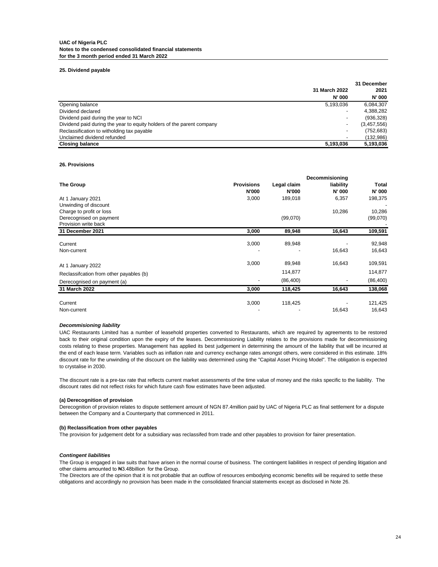## **25. Dividend payable**

|                                                                       | 31 December    |
|-----------------------------------------------------------------------|----------------|
| 31 March 2022                                                         | 2021           |
| <b>N' 000</b>                                                         | <b>N' 000</b>  |
| Opening balance<br>5,193,036                                          | 6,084,307      |
| Dividend declared                                                     | 4,388,282<br>- |
| Dividend paid during the year to NCI                                  | (936, 328)     |
| Dividend paid during the year to equity holders of the parent company | (3,457,556)    |
| Reclassification to witholding tax payable                            | (752, 683)     |
| Unclaimed dividend refunded                                           | (132,986)      |
| <b>Closing balance</b><br>5,193,036                                   | 5,193,036      |

## **26. Provisions**

|                                          |                   |              | Decommisioning |           |
|------------------------------------------|-------------------|--------------|----------------|-----------|
| The Group                                | <b>Provisions</b> | Legal claim  | liability      | Total     |
|                                          | <b>N'000</b>      | <b>N'000</b> | N' 000         | N' 000    |
| At 1 January 2021                        | 3,000             | 189,018      | 6,357          | 198,375   |
| Unwinding of discount                    |                   |              |                |           |
| Charge to profit or loss                 |                   |              | 10,286         | 10,286    |
| Derecognised on payment                  |                   | (99,070)     |                | (99,070)  |
| Provision write back                     |                   |              |                |           |
| 31 December 2021                         | 3,000             | 89,948       | 16,643         | 109,591   |
| Current                                  | 3,000             | 89,948       |                | 92,948    |
| Non-current                              |                   |              | 16,643         | 16,643    |
| At 1 January 2022                        | 3,000             | 89,948       | 16,643         | 109,591   |
| Reclassification from other payables (b) |                   | 114,877      |                | 114,877   |
| Derecognised on payment (a)              |                   | (86, 400)    |                | (86, 400) |
| 31 March 2022                            | 3,000             | 118,425      | 16,643         | 138,068   |
| Current                                  | 3,000             | 118,425      |                | 121,425   |
| Non-current                              |                   |              | 16,643         | 16,643    |

#### *Decommisioning liability*

UAC Restaurants Limited has a number of leasehold properties converted to Restaurants, which are required by agreements to be restored back to their original condition upon the expiry of the leases. Decommissioning Liability relates to the provisions made for decommissioning costs relating to these properties. Management has applied its best judgement in determining the amount of the liability that will be incurred at the end of each lease term. Variables such as inflation rate and currency exchange rates amongst others, were considered in this estimate. 18% discount rate for the unwinding of the discount on the liability was determined using the "Capital Asset Pricing Model". The obligation is expected to crystalise in 2030.

The discount rate is a pre-tax rate that reflects current market assessments of the time value of money and the risks specific to the liability. The discount rates did not reflect risks for which future cash flow estimates have been adjusted.

### **(a) Derecognition of provision**

Derecognition of provision relates to dispute settlement amount of NGN 87.4million paid by UAC of Nigeria PLC as final settlement for a dispute between the Company and a Counterparty that commenced in 2011.

#### **(b) Reclassification from other payables**

The provision for judgement debt for a subsidiary was reclassifed from trade and other payables to provision for fairer presentation.

#### *Contingent liabilities*

The Group is engaged in law suits that have arisen in the normal course of business. The contingent liabilities in respect of pending litigation and other claims amounted to ₦3.48billion for the Group.

The Directors are of the opinion that it is not probable that an outflow of resources embodying economic benefits will be required to settle these obligations and accordingly no provision has been made in the consolidated financial statements except as disclosed in Note 26.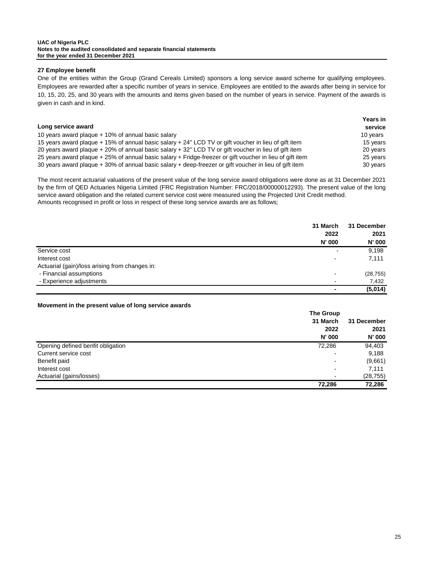### **UAC of Nigeria PLC Notes to the audited consolidated and separate financial statements for the year ended 31 December 2021**

## **27 Employee benefit**

One of the entities within the Group (Grand Cereals Limited) sponsors a long service award scheme for qualifying employees. Employees are rewarded after a specific number of years in service. Employees are entitled to the awards after being in service for 10, 15, 20, 25, and 30 years with the amounts and items given based on the number of years in service. Payment of the awards is given in cash and in kind.

|                                                                                                          | <b>Years in</b> |
|----------------------------------------------------------------------------------------------------------|-----------------|
| Long service award                                                                                       | service         |
| 10 years award plaque + 10% of annual basic salary                                                       | 10 years        |
| 15 years award plaque + 15% of annual basic salary + 24" LCD TV or gift voucher in lieu of gift item     | 15 years        |
| 20 years award plaque + 20% of annual basic salary + 32" LCD TV or gift voucher in lieu of gift item     | 20 years        |
| 25 years award plaque + 25% of annual basic salary + Fridge-freezer or gift voucher in lieu of gift item | 25 years        |
| 30 years award plaque + 30% of annual basic salary + deep-freezer or gift voucher in lieu of gift item   | 30 years        |

Amounts recognised in profit or loss in respect of these long service awards are as follows; The most recent actuarial valuations of the present value of the long service award obligations were done as at 31 December 2021 by the firm of QED Actuaries Nigeria Limited (FRC Registration Number: FRC/2018/00000012293). The present value of the long service award obligation and the related current service cost were measured using the Projected Unit Credit method.

|                                                | 31 March | 31 December   |
|------------------------------------------------|----------|---------------|
|                                                | 2022     | 2021          |
|                                                | N' 000   | <b>N' 000</b> |
| Service cost                                   |          | 9,198         |
| Interest cost                                  |          | 7,111         |
| Actuarial (gain)/loss arising from changes in: |          |               |
| - Financial assumptions                        |          | (28, 755)     |
| - Experience adjustments                       |          | 7,432         |
|                                                | ۰        | (5,014)       |

## **Movement in the present value of long service awards**

|                                   | <b>The Group</b> |               |
|-----------------------------------|------------------|---------------|
|                                   | 31 March         | 31 December   |
|                                   | 2022             | 2021          |
|                                   | N' 000           | <b>N' 000</b> |
| Opening defined benfit obligation | 72,286           | 94,403        |
| Current service cost              |                  | 9,188         |
| Benefit paid                      |                  | (9,661)       |
| Interest cost                     | -                | 7,111         |
| Actuarial (gains/losses)          | -                | (28, 755)     |
|                                   | 72.286           | 72,286        |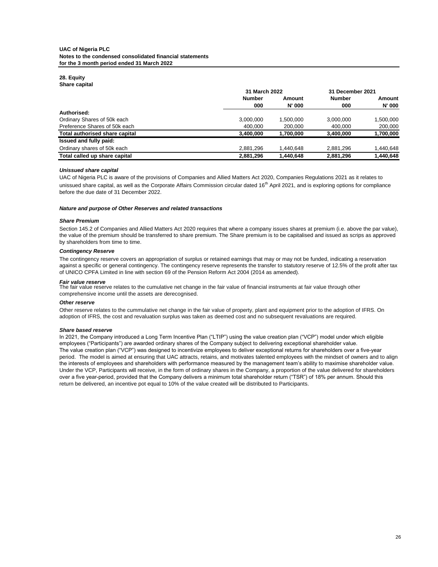#### **28. Equity Share capital**

| <b>UNIUL VUDILUI</b>           | 31 March 2022 |               | 31 December 2021 |               |  |
|--------------------------------|---------------|---------------|------------------|---------------|--|
|                                | <b>Number</b> | Amount        | <b>Number</b>    | Amount        |  |
|                                | 000           | <b>N' 000</b> | 000              | <b>N' 000</b> |  |
| Authorised:                    |               |               |                  |               |  |
| Ordinary Shares of 50k each    | 3,000,000     | 1.500.000     | 3,000,000        | 1,500,000     |  |
| Preference Shares of 50k each  | 400.000       | 200,000       | 400.000          | 200,000       |  |
| Total authorised share capital | 3,400,000     | 1,700,000     | 3,400,000        | 1,700,000     |  |
| Issued and fully paid:         |               |               |                  |               |  |
| Ordinary shares of 50k each    | 2,881,296     | 1.440.648     | 2,881,296        | 440,648,      |  |
| Total called up share capital  | 2,881,296     | 1,440,648     | 2,881,296        | 1,440,648     |  |

## *Unissued share capital*

UAC of Nigeria PLC is aware of the provisions of Companies and Allied Matters Act 2020, Companies Regulations 2021 as it relates to unissued share capital, as well as the Corporate Affairs Commission circular dated 16<sup>th</sup> April 2021, and is exploring options for compliance before the due date of 31 December 2022.

### *Nature and purpose of Other Reserves and related transactions*

### *Share Premium*

Section 145.2 of Companies and Allied Matters Act 2020 requires that where a company issues shares at premium (i.e. above the par value), the value of the premium should be transferred to share premium. The Share premium is to be capitalised and issued as scrips as approved by shareholders from time to time.

### *Contingency Reserve*

The contingency reserve covers an appropriation of surplus or retained earnings that may or may not be funded, indicating a reservation against a specific or general contingency. The contingency reserve represents the transfer to statutory reserve of 12.5% of the profit after tax of UNICO CPFA Limited in line with section 69 of the Pension Reform Act 2004 (2014 as amended).

### *Fair value reserve*

The fair value reserve relates to the cumulative net change in the fair value of financial instruments at fair value through other comprehensive income until the assets are derecognised.

### *Other reserve*

Other reserve relates to the cummulative net change in the fair value of property, plant and equipment prior to the adoption of IFRS. On adoption of IFRS, the cost and revaluation surplus was taken as deemed cost and no subsequent revaluations are required.

## *Share based reserve*

In 2021, the Company introduced a Long Term Incentive Plan ("LTIP") using the value creation plan ("VCP") model under which eligible employees ("Participants") are awarded ordinary shares of the Company subject to delivering exceptional shareholder value. The value creation plan ("VCP") was designed to incentivize employees to deliver exceptional returns for shareholders over a five-year period. The model is aimed at ensuring that UAC attracts, retains, and motivates talented employees with the mindset of owners and to align the interests of employees and shareholders with performance measured by the management team's ability to maximise shareholder value. Under the VCP, Participants will receive, in the form of ordinary shares in the Company, a proportion of the value delivered for shareholders over a five year-period, provided that the Company delivers a minimum total shareholder return ("TSR") of 18% per annum. Should this return be delivered, an incentive pot equal to 10% of the value created will be distributed to Participants.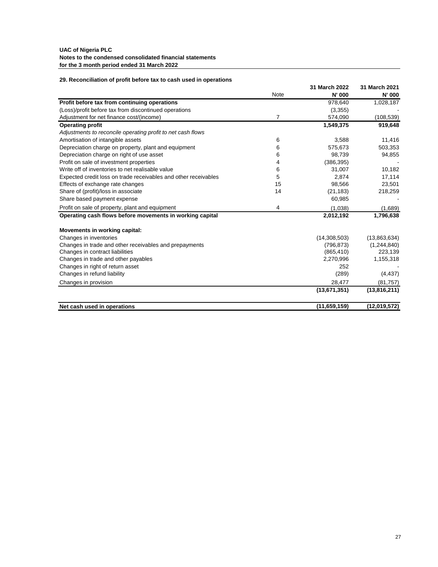## **29. Reconciliation of profit before tax to cash used in operations**

|                                                                 |                | 31 March 2022 | 31 March 2021 |
|-----------------------------------------------------------------|----------------|---------------|---------------|
|                                                                 | <b>Note</b>    | N' 000        | N' 000        |
| Profit before tax from continuing operations                    |                | 978,640       | 1,028,187     |
| (Loss)/profit before tax from discontinued operations           |                | (3,355)       |               |
| Adjustment for net finance cost/(income)                        | $\overline{7}$ | 574,090       | (108, 539)    |
| <b>Operating profit</b>                                         |                | 1,549,375     | 919,648       |
| Adjustments to reconcile operating profit to net cash flows     |                |               |               |
| Amortisation of intangible assets                               | 6              | 3,588         | 11,416        |
| Depreciation charge on property, plant and equipment            | 6              | 575,673       | 503,353       |
| Depreciation charge on right of use asset                       | 6              | 98,739        | 94,855        |
| Profit on sale of investment properties                         | 4              | (386, 395)    |               |
| Write off of inventories to net realisable value                | 6              | 31,007        | 10,182        |
| Expected credit loss on trade receivables and other receivables | 5              | 2,874         | 17,114        |
| Effects of exchange rate changes                                | 15             | 98.566        | 23,501        |
| Share of (profit)/loss in associate                             | 14             | (21, 183)     | 218,259       |
| Share based payment expense                                     |                | 60,985        |               |
| Profit on sale of property, plant and equipment                 | 4              | (1,038)       | (1,689)       |
| Operating cash flows before movements in working capital        |                | 2,012,192     | 1,796,638     |
| Movements in working capital:                                   |                |               |               |
| Changes in inventories                                          |                | (14,308,503)  | (13,863,634)  |
| Changes in trade and other receivables and prepayments          |                | (796, 873)    | (1,244,840)   |
| Changes in contract liabilities                                 |                | (865, 410)    | 223,139       |
| Changes in trade and other payables                             |                | 2,270,996     | 1,155,318     |
| Changes in right of return asset                                |                | 252           |               |
| Changes in refund liability                                     |                | (289)         | (4, 437)      |
| Changes in provision                                            |                | 28,477        | (81,757)      |
|                                                                 |                | (13,671,351)  | (13,816,211)  |
| Net cash used in operations                                     |                | (11.659, 159) | (12,019,572)  |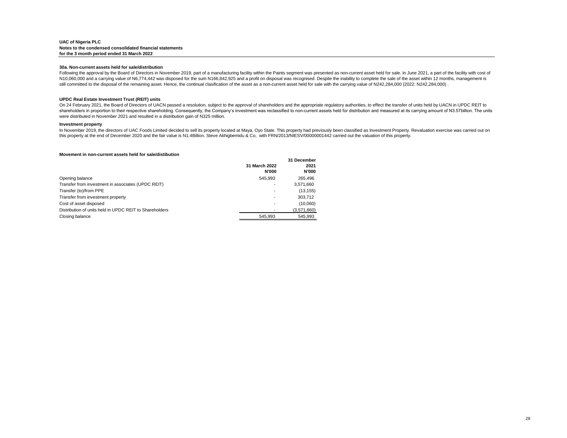#### **30a. Non-current assets held for sale/distribution**

Following the approval by the Board of Directors in November 2019, part of a manufacturing facility within the Paints segment was presented as non-current asset held for sale. In June 2021, a part of the facility with cost N10,060,000 and a carrying value of N6,774,442 was disposed for the sum N166,842,925 and a profit on disposal was recognised. Despite the inability to complete the sale of the asset within 12 months, management is still committed to the disposal of the remaining asset. Hence, the continual clasification of the asset as a non-current asset held for sale with the carrying value of N242,284,000 (2022: N242,284,000).

#### **UPDC Real Estate Investment Trust (REIT) units**

On 24 February 2021, the Board of Directors of UACN passed a resolution, subject to the approval of shareholders and the appropriate regulatory authorities, to effect the transfer of units held by UACN in UPDC REIT to shareholders in proportion to their respective shareholding. Consequently, the Company's investment was reclassified to non-current assets held for distribution and measured at its carrying amount of N3.57billion. The unit were distributed in November 2021 and resulted in a distribution gain of N325 million.

#### **Investment property**

In November 2019, the directors of UAC Foods Limited decided to sell its property located at Maya, Oyo State. This property had previously been classified as Investment Property. Revaluation exercise was carried out on this property at the end of December 2020 and the fair value is N1.4Billion. Steve Akhigbemidu & Co, with FRN/2013/NIESV/00000001442 carried out the valuation of this property.

#### **Movement in non-current assets held for sale/distibution**

|                                                         | 31 March 2022<br><b>N'000</b> | 31 December<br>2021<br><b>N'000</b> |
|---------------------------------------------------------|-------------------------------|-------------------------------------|
| Opening balance                                         | 545.993                       | 265.496                             |
| Transfer from investment in associates (UPDC REIT)      |                               | 3,571,660                           |
| Transfer (to)/from PPE                                  |                               | (13.155)                            |
| Transfer from investment property                       | $\overline{\phantom{a}}$      | 303,712                             |
| Cost of asset disposed                                  | $\overline{\phantom{0}}$      | (10,060)                            |
| Distribution of units held in UPDC REIT to Shareholders |                               | (3,571,660)                         |
| Closing balance                                         | 545.993                       | 545.993                             |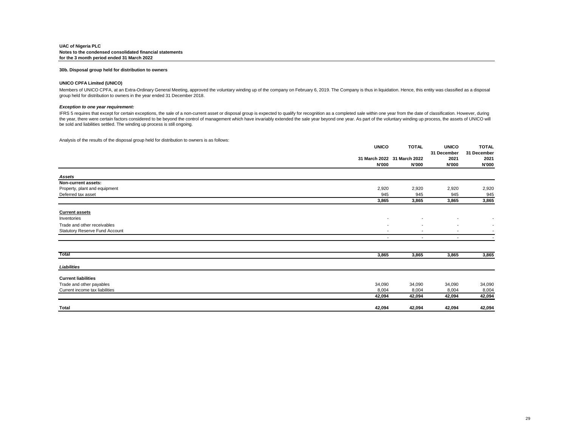#### **30b. Disposal group held for distribution to owners**

#### **UNICO CPFA Limited (UNICO)**

Members of UNICO CPFA, at an Extra-Ordinary General Meeting, approved the voluntary winding up of the company on February 6, 2019. The Company is thus in liquidation. Hence, this entity was classified as a disposal group held for distribution to owners in the year ended 31 December 2018.

#### *Exception to one year requirement:*

IFRS 5 requires that except for certain exceptions, the sale of a non-current asset or disposal group is expected to qualify for recognition as a completed sale within one year from the date of classification. However, dur the year, there were certain factors considered to be beyond the control of management which have invariably extended the sale year beyond one year. As part of the voluntary winding up process, the assets of UNICO will be sold and liabilities settled. The winding up process is still ongoing.

Analysis of the results of the disposal group held for distribution to owners is as follows:

|                                       |                          | <b>UNICO</b><br><b>TOTAL</b> | <b>UNICO</b>             | <b>TOTAL</b>             |
|---------------------------------------|--------------------------|------------------------------|--------------------------|--------------------------|
|                                       |                          |                              | 31 December              | 31 December              |
|                                       |                          | 31 March 2022 31 March 2022  | 2021                     | 2021                     |
|                                       | <b>N'000</b>             | N'000                        | <b>N'000</b>             | <b>N'000</b>             |
| Assets                                |                          |                              |                          |                          |
| Non-current assets:                   |                          |                              |                          |                          |
| Property, plant and equipment         | 2,920                    | 2,920                        | 2,920                    | 2,920                    |
| Deferred tax asset                    | 945                      | 945                          | 945                      | 945                      |
|                                       | 3,865                    | 3,865                        | 3,865                    | 3,865                    |
| <b>Current assets</b>                 |                          |                              |                          |                          |
| Inventories                           | $\overline{\phantom{a}}$ |                              |                          |                          |
| Trade and other receivables           | $\overline{\phantom{a}}$ |                              |                          | $\overline{\phantom{a}}$ |
| <b>Statutory Reserve Fund Account</b> | $\overline{\phantom{a}}$ | $\overline{\phantom{a}}$     | $\overline{\phantom{a}}$ |                          |
|                                       |                          |                              |                          |                          |
|                                       | $\overline{\phantom{a}}$ | $\sim$                       | $\sim$                   | $\overline{\phantom{a}}$ |
| Total                                 | 3,865                    | 3,865                        | 3,865                    | 3,865                    |
| Liabilities                           |                          |                              |                          |                          |
| <b>Current liabilities</b>            |                          |                              |                          |                          |
| Trade and other payables              | 34,090                   | 34,090                       | 34,090                   | 34,090                   |
| Current income tax liabilities        | 8,004                    | 8,004                        | 8,004                    | 8,004                    |
|                                       | 42,094                   | 42,094                       | 42,094                   | 42,094                   |
| Total                                 | 42,094                   | 42,094                       | 42,094                   | 42,094                   |